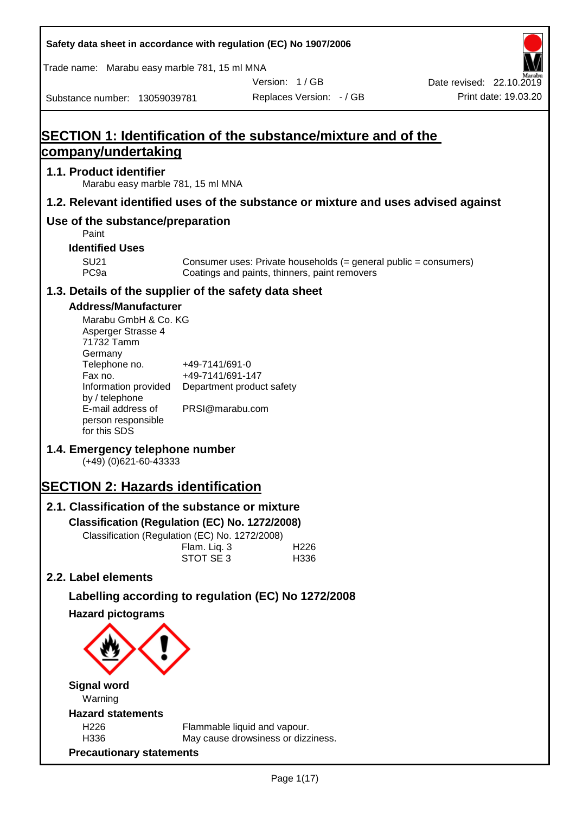| Safety data sheet in accordance with regulation (EC) No 1907/2006                                                                                                                                                                                                                                 |                                                                                    |                                                                                                                   |  |                                                  |  |  |
|---------------------------------------------------------------------------------------------------------------------------------------------------------------------------------------------------------------------------------------------------------------------------------------------------|------------------------------------------------------------------------------------|-------------------------------------------------------------------------------------------------------------------|--|--------------------------------------------------|--|--|
| Trade name: Marabu easy marble 781, 15 ml MNA                                                                                                                                                                                                                                                     |                                                                                    |                                                                                                                   |  |                                                  |  |  |
| Substance number: 13059039781                                                                                                                                                                                                                                                                     |                                                                                    | Version: 1/GB<br>Replaces Version: - / GB                                                                         |  | Date revised: 22.10.2019<br>Print date: 19.03.20 |  |  |
|                                                                                                                                                                                                                                                                                                   |                                                                                    |                                                                                                                   |  |                                                  |  |  |
| <b>SECTION 1: Identification of the substance/mixture and of the</b><br>company/undertaking                                                                                                                                                                                                       |                                                                                    |                                                                                                                   |  |                                                  |  |  |
| 1.1. Product identifier<br>Marabu easy marble 781, 15 ml MNA                                                                                                                                                                                                                                      |                                                                                    |                                                                                                                   |  |                                                  |  |  |
| 1.2. Relevant identified uses of the substance or mixture and uses advised against                                                                                                                                                                                                                |                                                                                    |                                                                                                                   |  |                                                  |  |  |
| Use of the substance/preparation<br>Paint                                                                                                                                                                                                                                                         |                                                                                    |                                                                                                                   |  |                                                  |  |  |
| <b>Identified Uses</b>                                                                                                                                                                                                                                                                            |                                                                                    |                                                                                                                   |  |                                                  |  |  |
| <b>SU21</b><br>PC <sub>9a</sub>                                                                                                                                                                                                                                                                   |                                                                                    | Consumer uses: Private households (= general public = consumers)<br>Coatings and paints, thinners, paint removers |  |                                                  |  |  |
| 1.3. Details of the supplier of the safety data sheet                                                                                                                                                                                                                                             |                                                                                    |                                                                                                                   |  |                                                  |  |  |
| <b>Address/Manufacturer</b><br>Marabu GmbH & Co. KG<br>Asperger Strasse 4<br>71732 Tamm<br>Germany<br>Telephone no.<br>Fax no.<br>Information provided<br>by / telephone<br>E-mail address of<br>person responsible<br>for this SDS<br>1.4. Emergency telephone number<br>$(+49)$ (0)621-60-43333 | +49-7141/691-0<br>+49-7141/691-147<br>Department product safety<br>PRSI@marabu.com |                                                                                                                   |  |                                                  |  |  |
| <b>SECTION 2: Hazards identification</b>                                                                                                                                                                                                                                                          |                                                                                    |                                                                                                                   |  |                                                  |  |  |
| 2.1. Classification of the substance or mixture                                                                                                                                                                                                                                                   |                                                                                    |                                                                                                                   |  |                                                  |  |  |
| Classification (Regulation (EC) No. 1272/2008)                                                                                                                                                                                                                                                    |                                                                                    |                                                                                                                   |  |                                                  |  |  |
| Classification (Regulation (EC) No. 1272/2008)                                                                                                                                                                                                                                                    | Flam. Liq. 3<br>STOT SE 3                                                          | H226<br>H336                                                                                                      |  |                                                  |  |  |
| 2.2. Label elements                                                                                                                                                                                                                                                                               |                                                                                    |                                                                                                                   |  |                                                  |  |  |
| Labelling according to regulation (EC) No 1272/2008                                                                                                                                                                                                                                               |                                                                                    |                                                                                                                   |  |                                                  |  |  |
| <b>Hazard pictograms</b>                                                                                                                                                                                                                                                                          |                                                                                    |                                                                                                                   |  |                                                  |  |  |
|                                                                                                                                                                                                                                                                                                   |                                                                                    |                                                                                                                   |  |                                                  |  |  |
| <b>Signal word</b><br>Warning                                                                                                                                                                                                                                                                     |                                                                                    |                                                                                                                   |  |                                                  |  |  |
| <b>Hazard statements</b>                                                                                                                                                                                                                                                                          |                                                                                    |                                                                                                                   |  |                                                  |  |  |
| H226<br>H336                                                                                                                                                                                                                                                                                      | Flammable liquid and vapour.                                                       | May cause drowsiness or dizziness.                                                                                |  |                                                  |  |  |
| <b>Precautionary statements</b>                                                                                                                                                                                                                                                                   |                                                                                    |                                                                                                                   |  |                                                  |  |  |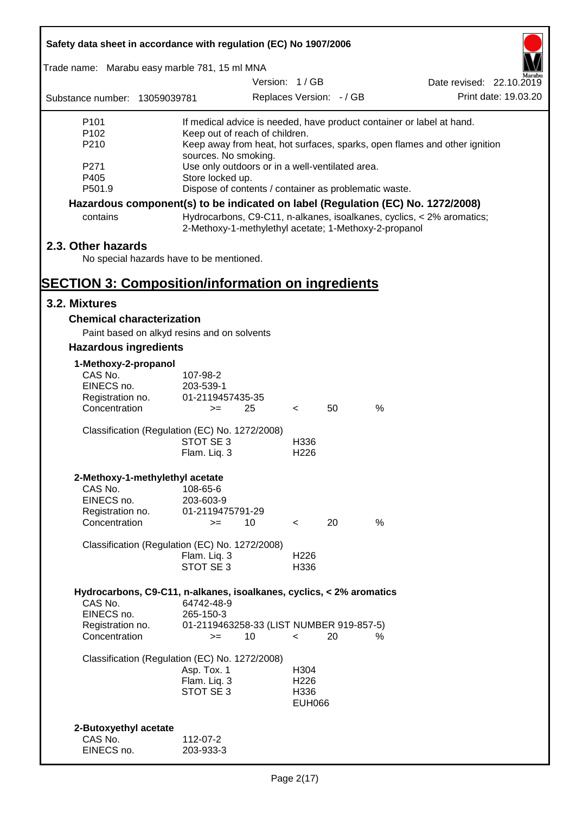| Safety data sheet in accordance with regulation (EC) No 1907/2006                           |                                                                                                   |               |                          |                          |      |                                                                       |  |
|---------------------------------------------------------------------------------------------|---------------------------------------------------------------------------------------------------|---------------|--------------------------|--------------------------|------|-----------------------------------------------------------------------|--|
| Trade name: Marabu easy marble 781, 15 ml MNA                                               |                                                                                                   |               |                          |                          |      |                                                                       |  |
|                                                                                             |                                                                                                   | Version: 1/GB |                          |                          |      | Date revised: 22.10.2019                                              |  |
| Substance number: 13059039781                                                               |                                                                                                   |               |                          | Replaces Version: - / GB |      | Print date: 19.03.20                                                  |  |
| P <sub>101</sub>                                                                            |                                                                                                   |               |                          |                          |      | If medical advice is needed, have product container or label at hand. |  |
| P102<br>P210                                                                                | Keep out of reach of children.                                                                    |               |                          |                          |      |                                                                       |  |
|                                                                                             | Keep away from heat, hot surfaces, sparks, open flames and other ignition<br>sources. No smoking. |               |                          |                          |      |                                                                       |  |
| P271                                                                                        | Use only outdoors or in a well-ventilated area.                                                   |               |                          |                          |      |                                                                       |  |
| P405                                                                                        | Store locked up.                                                                                  |               |                          |                          |      |                                                                       |  |
| P501.9                                                                                      | Dispose of contents / container as problematic waste.                                             |               |                          |                          |      |                                                                       |  |
| Hazardous component(s) to be indicated on label (Regulation (EC) No. 1272/2008)<br>contains | 2-Methoxy-1-methylethyl acetate; 1-Methoxy-2-propanol                                             |               |                          |                          |      | Hydrocarbons, C9-C11, n-alkanes, isoalkanes, cyclics, < 2% aromatics; |  |
| 2.3. Other hazards                                                                          |                                                                                                   |               |                          |                          |      |                                                                       |  |
| No special hazards have to be mentioned.                                                    |                                                                                                   |               |                          |                          |      |                                                                       |  |
|                                                                                             |                                                                                                   |               |                          |                          |      |                                                                       |  |
| <b>SECTION 3: Composition/information on ingredients</b>                                    |                                                                                                   |               |                          |                          |      |                                                                       |  |
| 3.2. Mixtures                                                                               |                                                                                                   |               |                          |                          |      |                                                                       |  |
| <b>Chemical characterization</b>                                                            |                                                                                                   |               |                          |                          |      |                                                                       |  |
| Paint based on alkyd resins and on solvents                                                 |                                                                                                   |               |                          |                          |      |                                                                       |  |
| <b>Hazardous ingredients</b>                                                                |                                                                                                   |               |                          |                          |      |                                                                       |  |
| 1-Methoxy-2-propanol                                                                        |                                                                                                   |               |                          |                          |      |                                                                       |  |
| CAS No.<br>EINECS no.                                                                       | 107-98-2<br>203-539-1                                                                             |               |                          |                          |      |                                                                       |  |
| Registration no.                                                                            | 01-2119457435-35                                                                                  |               |                          |                          |      |                                                                       |  |
| Concentration                                                                               | $>=$                                                                                              | 25            | $\lt$                    | 50                       | $\%$ |                                                                       |  |
|                                                                                             |                                                                                                   |               |                          |                          |      |                                                                       |  |
| Classification (Regulation (EC) No. 1272/2008)                                              | STOT SE 3                                                                                         |               | H336                     |                          |      |                                                                       |  |
|                                                                                             | Flam. Liq. 3                                                                                      |               | H <sub>226</sub>         |                          |      |                                                                       |  |
|                                                                                             |                                                                                                   |               |                          |                          |      |                                                                       |  |
| 2-Methoxy-1-methylethyl acetate                                                             |                                                                                                   |               |                          |                          |      |                                                                       |  |
| CAS No.<br>EINECS no.                                                                       | 108-65-6<br>203-603-9                                                                             |               |                          |                          |      |                                                                       |  |
| Registration no.                                                                            | 01-2119475791-29                                                                                  |               |                          |                          |      |                                                                       |  |
| Concentration                                                                               | $>=$                                                                                              | 10            | $\prec$                  | 20                       | %    |                                                                       |  |
| Classification (Regulation (EC) No. 1272/2008)                                              |                                                                                                   |               |                          |                          |      |                                                                       |  |
|                                                                                             | Flam. Liq. 3                                                                                      |               | H <sub>226</sub>         |                          |      |                                                                       |  |
|                                                                                             | STOT SE 3                                                                                         |               | H336                     |                          |      |                                                                       |  |
|                                                                                             |                                                                                                   |               |                          |                          |      |                                                                       |  |
| Hydrocarbons, C9-C11, n-alkanes, isoalkanes, cyclics, < 2% aromatics<br>CAS No.             | 64742-48-9                                                                                        |               |                          |                          |      |                                                                       |  |
| EINECS no.                                                                                  | 265-150-3                                                                                         |               |                          |                          |      |                                                                       |  |
| Registration no.                                                                            | 01-2119463258-33 (LIST NUMBER 919-857-5)                                                          |               |                          |                          |      |                                                                       |  |
| Concentration                                                                               | $>=$                                                                                              | 10            | $\overline{\phantom{0}}$ | 20                       | %    |                                                                       |  |
| Classification (Regulation (EC) No. 1272/2008)                                              |                                                                                                   |               |                          |                          |      |                                                                       |  |
|                                                                                             | Asp. Tox. 1                                                                                       |               | H304                     |                          |      |                                                                       |  |
|                                                                                             | Flam. Liq. 3                                                                                      |               | H <sub>226</sub>         |                          |      |                                                                       |  |
|                                                                                             | STOT SE 3                                                                                         |               | H336<br><b>EUH066</b>    |                          |      |                                                                       |  |
|                                                                                             |                                                                                                   |               |                          |                          |      |                                                                       |  |
| 2-Butoxyethyl acetate                                                                       |                                                                                                   |               |                          |                          |      |                                                                       |  |
| CAS No.                                                                                     | 112-07-2                                                                                          |               |                          |                          |      |                                                                       |  |
| EINECS no.                                                                                  | 203-933-3                                                                                         |               |                          |                          |      |                                                                       |  |

Г

 $\overline{\mathbf{1}}$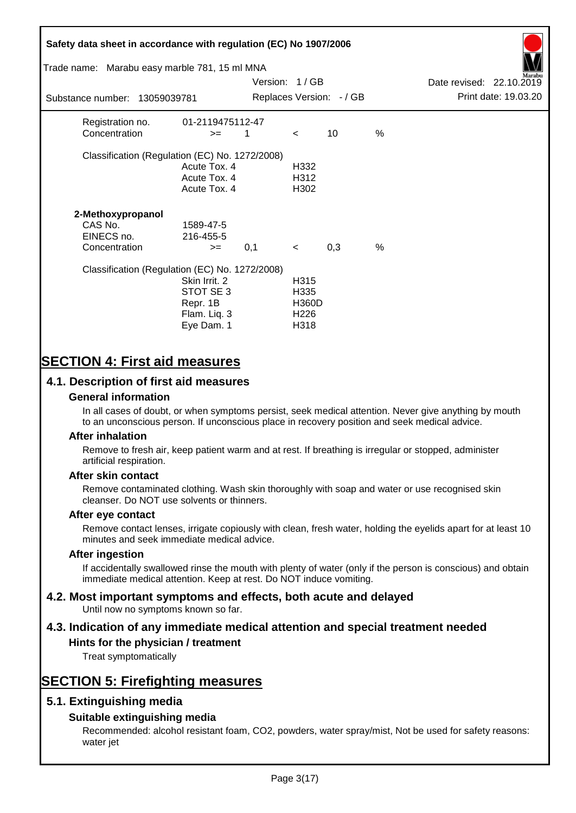# **Safety data sheet in accordance with regulation (EC) No 1907/2006** Substance number: 13059039781 Version: 1 / GB Replaces Version:  $-$  / GB Print date: 19.03.20 Date revised: 22.10.2019 Trade name: Marabu easy marble 781, 15 ml MNA Registration no. 01-2119475112-47  $\text{Concentration}$   $\geq$  1 < 10 % Classification (Regulation (EC) No. 1272/2008) Acute Tox. 4 H332 Acute Tox. 4 H312 Acute Tox. 4 H302 **2-Methoxypropanol** CAS No. 1589-47-5 EINECS no. 216-455-5  $\text{Concentration}$   $\rightarrow$  0.1 < 0.3 % Classification (Regulation (EC) No. 1272/2008) Skin Irrit. 2 H315 STOT SE 3 H335 Repr. 1B H360D Flam. Liq. 3 H226 Eye Dam. 1 H318

# **SECTION 4: First aid measures**

## **4.1. Description of first aid measures**

#### **General information**

In all cases of doubt, or when symptoms persist, seek medical attention. Never give anything by mouth to an unconscious person. If unconscious place in recovery position and seek medical advice.

#### **After inhalation**

Remove to fresh air, keep patient warm and at rest. If breathing is irregular or stopped, administer artificial respiration.

#### **After skin contact**

Remove contaminated clothing. Wash skin thoroughly with soap and water or use recognised skin cleanser. Do NOT use solvents or thinners.

#### **After eye contact**

Remove contact lenses, irrigate copiously with clean, fresh water, holding the eyelids apart for at least 10 minutes and seek immediate medical advice.

#### **After ingestion**

If accidentally swallowed rinse the mouth with plenty of water (only if the person is conscious) and obtain immediate medical attention. Keep at rest. Do NOT induce vomiting.

# **4.2. Most important symptoms and effects, both acute and delayed**

Until now no symptoms known so far.

# **4.3. Indication of any immediate medical attention and special treatment needed**

#### **Hints for the physician / treatment**

Treat symptomatically

# **SECTION 5: Firefighting measures**

## **5.1. Extinguishing media**

## **Suitable extinguishing media**

Recommended: alcohol resistant foam, CO2, powders, water spray/mist, Not be used for safety reasons: water jet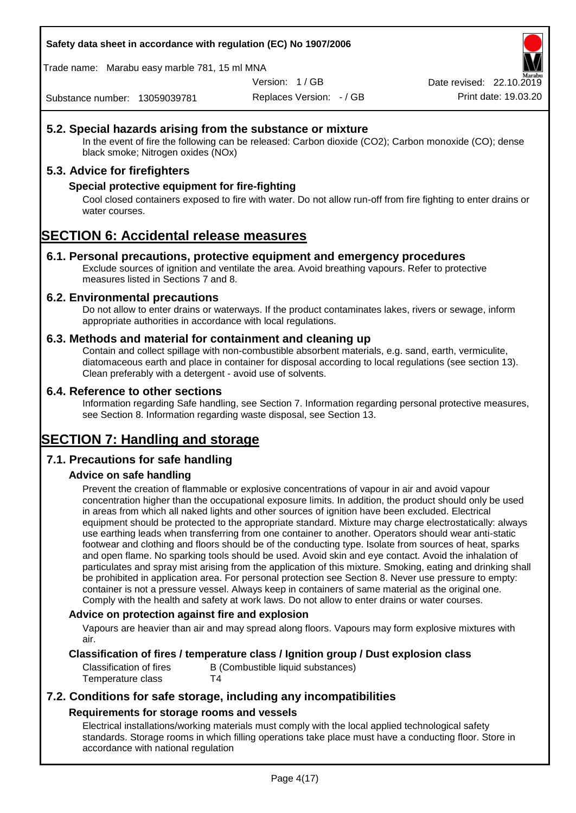#### **Safety data sheet in accordance with regulation (EC) No 1907/2006**

Trade name: Marabu easy marble 781, 15 ml MNA

Version: 1 / GB

Replaces Version: - / GB Print date: 19.03.20 Date revised: 22.10.2

Substance number: 13059039781

## **5.2. Special hazards arising from the substance or mixture**

In the event of fire the following can be released: Carbon dioxide (CO2); Carbon monoxide (CO); dense black smoke; Nitrogen oxides (NOx)

## **5.3. Advice for firefighters**

#### **Special protective equipment for fire-fighting**

Cool closed containers exposed to fire with water. Do not allow run-off from fire fighting to enter drains or water courses.

# **SECTION 6: Accidental release measures**

#### **6.1. Personal precautions, protective equipment and emergency procedures**

Exclude sources of ignition and ventilate the area. Avoid breathing vapours. Refer to protective measures listed in Sections 7 and 8.

#### **6.2. Environmental precautions**

Do not allow to enter drains or waterways. If the product contaminates lakes, rivers or sewage, inform appropriate authorities in accordance with local regulations.

#### **6.3. Methods and material for containment and cleaning up**

Contain and collect spillage with non-combustible absorbent materials, e.g. sand, earth, vermiculite, diatomaceous earth and place in container for disposal according to local regulations (see section 13). Clean preferably with a detergent - avoid use of solvents.

#### **6.4. Reference to other sections**

Information regarding Safe handling, see Section 7. Information regarding personal protective measures, see Section 8. Information regarding waste disposal, see Section 13.

# **SECTION 7: Handling and storage**

## **7.1. Precautions for safe handling**

## **Advice on safe handling**

Prevent the creation of flammable or explosive concentrations of vapour in air and avoid vapour concentration higher than the occupational exposure limits. In addition, the product should only be used in areas from which all naked lights and other sources of ignition have been excluded. Electrical equipment should be protected to the appropriate standard. Mixture may charge electrostatically: always use earthing leads when transferring from one container to another. Operators should wear anti-static footwear and clothing and floors should be of the conducting type. Isolate from sources of heat, sparks and open flame. No sparking tools should be used. Avoid skin and eye contact. Avoid the inhalation of particulates and spray mist arising from the application of this mixture. Smoking, eating and drinking shall be prohibited in application area. For personal protection see Section 8. Never use pressure to empty: container is not a pressure vessel. Always keep in containers of same material as the original one. Comply with the health and safety at work laws. Do not allow to enter drains or water courses.

#### **Advice on protection against fire and explosion**

Vapours are heavier than air and may spread along floors. Vapours may form explosive mixtures with air.

#### **Classification of fires / temperature class / Ignition group / Dust explosion class**

Classification of fires B (Combustible liquid substances) Temperature class T4

## **7.2. Conditions for safe storage, including any incompatibilities Requirements for storage rooms and vessels**

Electrical installations/working materials must comply with the local applied technological safety standards. Storage rooms in which filling operations take place must have a conducting floor. Store in accordance with national regulation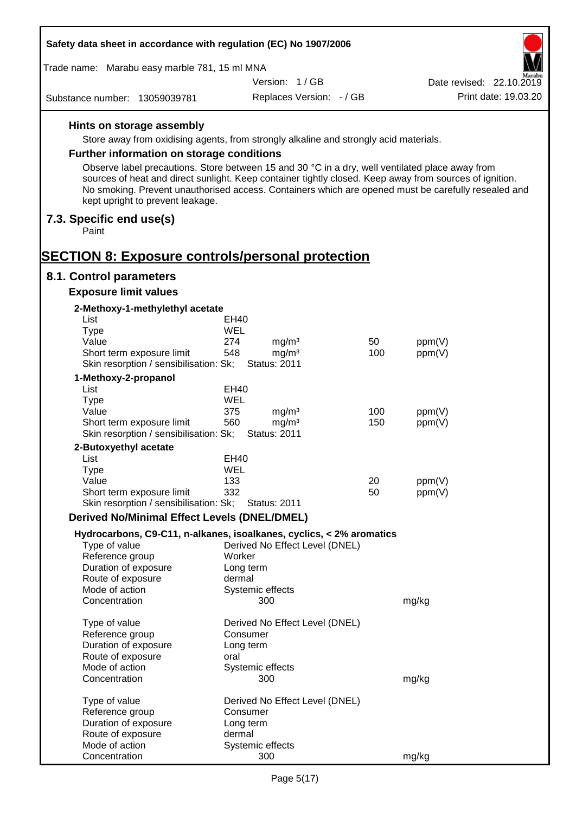| Safety data sheet in accordance with regulation (EC) No 1907/2006                                                                                                                                                                                  |                                                 |     |                          |
|----------------------------------------------------------------------------------------------------------------------------------------------------------------------------------------------------------------------------------------------------|-------------------------------------------------|-----|--------------------------|
| Trade name: Marabu easy marble 781, 15 ml MNA                                                                                                                                                                                                      |                                                 |     |                          |
|                                                                                                                                                                                                                                                    | Version: 1/GB                                   |     | Date revised: 22.10.2019 |
| Substance number: 13059039781                                                                                                                                                                                                                      | Replaces Version: - / GB                        |     | Print date: 19.03.20     |
| Hints on storage assembly                                                                                                                                                                                                                          |                                                 |     |                          |
| Store away from oxidising agents, from strongly alkaline and strongly acid materials.                                                                                                                                                              |                                                 |     |                          |
| Further information on storage conditions                                                                                                                                                                                                          |                                                 |     |                          |
| Observe label precautions. Store between 15 and 30 °C in a dry, well ventilated place away from                                                                                                                                                    |                                                 |     |                          |
| sources of heat and direct sunlight. Keep container tightly closed. Keep away from sources of ignition.<br>No smoking. Prevent unauthorised access. Containers which are opened must be carefully resealed and<br>kept upright to prevent leakage. |                                                 |     |                          |
| 7.3. Specific end use(s)<br>Paint                                                                                                                                                                                                                  |                                                 |     |                          |
|                                                                                                                                                                                                                                                    |                                                 |     |                          |
| <b>SECTION 8: Exposure controls/personal protection</b>                                                                                                                                                                                            |                                                 |     |                          |
| 8.1. Control parameters<br><b>Exposure limit values</b>                                                                                                                                                                                            |                                                 |     |                          |
| 2-Methoxy-1-methylethyl acetate                                                                                                                                                                                                                    |                                                 |     |                          |
| List                                                                                                                                                                                                                                               | EH40                                            |     |                          |
| <b>Type</b>                                                                                                                                                                                                                                        | WEL                                             |     |                          |
| Value                                                                                                                                                                                                                                              | 274<br>mg/m <sup>3</sup>                        | 50  | ppm(V)                   |
| Short term exposure limit<br>Skin resorption / sensibilisation: Sk;                                                                                                                                                                                | 548<br>mg/m <sup>3</sup><br><b>Status: 2011</b> | 100 | ppm(V)                   |
| 1-Methoxy-2-propanol                                                                                                                                                                                                                               |                                                 |     |                          |
| List                                                                                                                                                                                                                                               | <b>EH40</b>                                     |     |                          |
| <b>Type</b>                                                                                                                                                                                                                                        | WEL                                             |     |                          |
| Value                                                                                                                                                                                                                                              | 375<br>mg/m <sup>3</sup>                        | 100 | ppm(V)                   |
| Short term exposure limit                                                                                                                                                                                                                          | 560<br>mg/m <sup>3</sup>                        | 150 | ppm(V)                   |
| Skin resorption / sensibilisation: Sk;                                                                                                                                                                                                             | <b>Status: 2011</b>                             |     |                          |
| 2-Butoxyethyl acetate<br>List                                                                                                                                                                                                                      | <b>EH40</b>                                     |     |                          |
| Type                                                                                                                                                                                                                                               | WEL                                             |     |                          |
| Value                                                                                                                                                                                                                                              | 133                                             | 20  | ppm(V)                   |
| Short term exposure limit                                                                                                                                                                                                                          | 332                                             | 50  | ppm(V)                   |
| Skin resorption / sensibilisation: Sk;                                                                                                                                                                                                             | <b>Status: 2011</b>                             |     |                          |
| <b>Derived No/Minimal Effect Levels (DNEL/DMEL)</b>                                                                                                                                                                                                |                                                 |     |                          |
| Hydrocarbons, C9-C11, n-alkanes, isoalkanes, cyclics, < 2% aromatics<br>Type of value                                                                                                                                                              | Derived No Effect Level (DNEL)                  |     |                          |
| Reference group                                                                                                                                                                                                                                    | Worker                                          |     |                          |
| Duration of exposure                                                                                                                                                                                                                               | Long term                                       |     |                          |
| Route of exposure                                                                                                                                                                                                                                  | dermal                                          |     |                          |
| Mode of action<br>Concentration                                                                                                                                                                                                                    | Systemic effects<br>300                         |     | mg/kg                    |
| Type of value                                                                                                                                                                                                                                      | Derived No Effect Level (DNEL)                  |     |                          |
| Reference group                                                                                                                                                                                                                                    | Consumer                                        |     |                          |
| Duration of exposure                                                                                                                                                                                                                               | Long term                                       |     |                          |
| Route of exposure                                                                                                                                                                                                                                  | oral                                            |     |                          |
| Mode of action<br>Concentration                                                                                                                                                                                                                    | Systemic effects<br>300                         |     | mg/kg                    |
|                                                                                                                                                                                                                                                    |                                                 |     |                          |
| Type of value<br>Reference group                                                                                                                                                                                                                   | Derived No Effect Level (DNEL)<br>Consumer      |     |                          |
| Duration of exposure                                                                                                                                                                                                                               | Long term                                       |     |                          |
| Route of exposure                                                                                                                                                                                                                                  | dermal                                          |     |                          |
| Mode of action                                                                                                                                                                                                                                     | Systemic effects                                |     |                          |
| Concentration                                                                                                                                                                                                                                      | 300                                             |     | mg/kg                    |

Г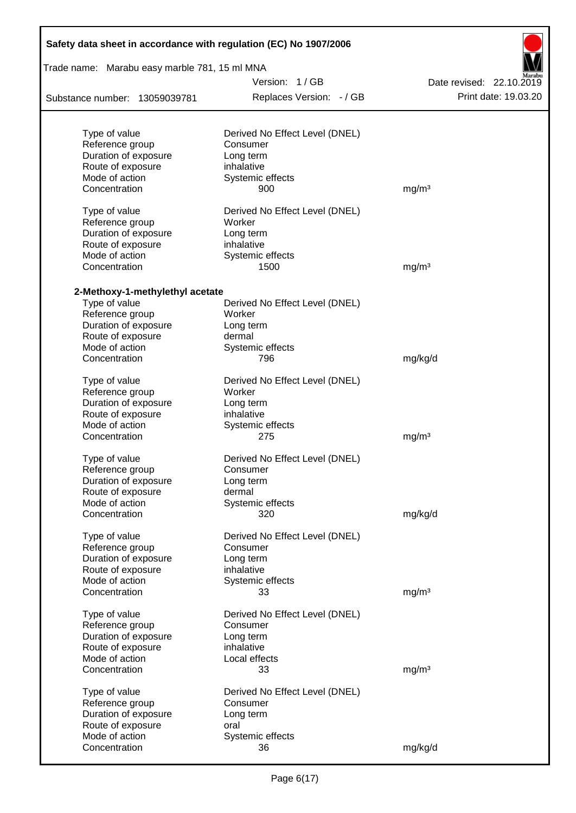| Version: 1/GB<br>Date revised: 22.10.2019<br>Print date: 19.03.20<br>Replaces Version: - / GB<br>Substance number: 13059039781<br>Type of value<br>Derived No Effect Level (DNEL)<br>Reference group<br>Consumer<br>Duration of exposure<br>Long term<br>Route of exposure<br>inhalative<br>Mode of action<br>Systemic effects<br>Concentration<br>900<br>mg/m <sup>3</sup><br>Type of value<br>Derived No Effect Level (DNEL)<br>Reference group<br>Worker<br>Duration of exposure<br>Long term<br>Route of exposure<br>inhalative<br>Mode of action<br>Systemic effects<br>1500<br>Concentration<br>mg/m <sup>3</sup><br>2-Methoxy-1-methylethyl acetate<br>Type of value<br>Derived No Effect Level (DNEL)<br>Reference group<br>Worker<br>Duration of exposure<br>Long term<br>Route of exposure<br>dermal<br>Mode of action<br>Systemic effects<br>Concentration<br>796<br>mg/kg/d<br>Type of value<br>Derived No Effect Level (DNEL)<br>Reference group<br>Worker<br>Duration of exposure<br>Long term<br>Route of exposure<br>inhalative<br>Mode of action<br>Systemic effects<br>275<br>mg/m <sup>3</sup><br>Concentration<br>Type of value<br>Derived No Effect Level (DNEL)<br>Reference group<br>Consumer<br>Duration of exposure<br>Long term<br>Route of exposure<br>dermal<br>Mode of action<br>Systemic effects<br>Concentration<br>320<br>mg/kg/d<br>Type of value<br>Derived No Effect Level (DNEL)<br>Reference group<br>Consumer<br>Duration of exposure<br>Long term<br>Route of exposure<br>inhalative<br>Mode of action<br>Systemic effects<br>Concentration<br>mg/m <sup>3</sup><br>33<br>Type of value<br>Derived No Effect Level (DNEL)<br>Reference group<br>Consumer<br>Duration of exposure<br>Long term<br>Route of exposure<br>inhalative<br>Mode of action<br>Local effects<br>Concentration<br>33<br>mg/m <sup>3</sup><br>Type of value<br>Derived No Effect Level (DNEL)<br>Reference group<br>Consumer<br>Duration of exposure<br>Long term<br>Route of exposure<br>oral<br>Mode of action<br>Systemic effects | Safety data sheet in accordance with regulation (EC) No 1907/2006<br>Trade name: Marabu easy marble 781, 15 ml MNA |    |         |  |  |  |  |
|--------------------------------------------------------------------------------------------------------------------------------------------------------------------------------------------------------------------------------------------------------------------------------------------------------------------------------------------------------------------------------------------------------------------------------------------------------------------------------------------------------------------------------------------------------------------------------------------------------------------------------------------------------------------------------------------------------------------------------------------------------------------------------------------------------------------------------------------------------------------------------------------------------------------------------------------------------------------------------------------------------------------------------------------------------------------------------------------------------------------------------------------------------------------------------------------------------------------------------------------------------------------------------------------------------------------------------------------------------------------------------------------------------------------------------------------------------------------------------------------------------------------------------------------------------------------------------------------------------------------------------------------------------------------------------------------------------------------------------------------------------------------------------------------------------------------------------------------------------------------------------------------------------------------------------------------------------------------------------------------------------------------------------------------------|--------------------------------------------------------------------------------------------------------------------|----|---------|--|--|--|--|
|                                                                                                                                                                                                                                                                                                                                                                                                                                                                                                                                                                                                                                                                                                                                                                                                                                                                                                                                                                                                                                                                                                                                                                                                                                                                                                                                                                                                                                                                                                                                                                                                                                                                                                                                                                                                                                                                                                                                                                                                                                                  |                                                                                                                    |    |         |  |  |  |  |
|                                                                                                                                                                                                                                                                                                                                                                                                                                                                                                                                                                                                                                                                                                                                                                                                                                                                                                                                                                                                                                                                                                                                                                                                                                                                                                                                                                                                                                                                                                                                                                                                                                                                                                                                                                                                                                                                                                                                                                                                                                                  |                                                                                                                    |    |         |  |  |  |  |
|                                                                                                                                                                                                                                                                                                                                                                                                                                                                                                                                                                                                                                                                                                                                                                                                                                                                                                                                                                                                                                                                                                                                                                                                                                                                                                                                                                                                                                                                                                                                                                                                                                                                                                                                                                                                                                                                                                                                                                                                                                                  |                                                                                                                    |    |         |  |  |  |  |
|                                                                                                                                                                                                                                                                                                                                                                                                                                                                                                                                                                                                                                                                                                                                                                                                                                                                                                                                                                                                                                                                                                                                                                                                                                                                                                                                                                                                                                                                                                                                                                                                                                                                                                                                                                                                                                                                                                                                                                                                                                                  |                                                                                                                    |    |         |  |  |  |  |
|                                                                                                                                                                                                                                                                                                                                                                                                                                                                                                                                                                                                                                                                                                                                                                                                                                                                                                                                                                                                                                                                                                                                                                                                                                                                                                                                                                                                                                                                                                                                                                                                                                                                                                                                                                                                                                                                                                                                                                                                                                                  |                                                                                                                    |    |         |  |  |  |  |
|                                                                                                                                                                                                                                                                                                                                                                                                                                                                                                                                                                                                                                                                                                                                                                                                                                                                                                                                                                                                                                                                                                                                                                                                                                                                                                                                                                                                                                                                                                                                                                                                                                                                                                                                                                                                                                                                                                                                                                                                                                                  |                                                                                                                    |    |         |  |  |  |  |
|                                                                                                                                                                                                                                                                                                                                                                                                                                                                                                                                                                                                                                                                                                                                                                                                                                                                                                                                                                                                                                                                                                                                                                                                                                                                                                                                                                                                                                                                                                                                                                                                                                                                                                                                                                                                                                                                                                                                                                                                                                                  |                                                                                                                    |    |         |  |  |  |  |
|                                                                                                                                                                                                                                                                                                                                                                                                                                                                                                                                                                                                                                                                                                                                                                                                                                                                                                                                                                                                                                                                                                                                                                                                                                                                                                                                                                                                                                                                                                                                                                                                                                                                                                                                                                                                                                                                                                                                                                                                                                                  |                                                                                                                    |    |         |  |  |  |  |
|                                                                                                                                                                                                                                                                                                                                                                                                                                                                                                                                                                                                                                                                                                                                                                                                                                                                                                                                                                                                                                                                                                                                                                                                                                                                                                                                                                                                                                                                                                                                                                                                                                                                                                                                                                                                                                                                                                                                                                                                                                                  |                                                                                                                    |    |         |  |  |  |  |
|                                                                                                                                                                                                                                                                                                                                                                                                                                                                                                                                                                                                                                                                                                                                                                                                                                                                                                                                                                                                                                                                                                                                                                                                                                                                                                                                                                                                                                                                                                                                                                                                                                                                                                                                                                                                                                                                                                                                                                                                                                                  |                                                                                                                    |    |         |  |  |  |  |
|                                                                                                                                                                                                                                                                                                                                                                                                                                                                                                                                                                                                                                                                                                                                                                                                                                                                                                                                                                                                                                                                                                                                                                                                                                                                                                                                                                                                                                                                                                                                                                                                                                                                                                                                                                                                                                                                                                                                                                                                                                                  |                                                                                                                    |    |         |  |  |  |  |
|                                                                                                                                                                                                                                                                                                                                                                                                                                                                                                                                                                                                                                                                                                                                                                                                                                                                                                                                                                                                                                                                                                                                                                                                                                                                                                                                                                                                                                                                                                                                                                                                                                                                                                                                                                                                                                                                                                                                                                                                                                                  |                                                                                                                    |    |         |  |  |  |  |
|                                                                                                                                                                                                                                                                                                                                                                                                                                                                                                                                                                                                                                                                                                                                                                                                                                                                                                                                                                                                                                                                                                                                                                                                                                                                                                                                                                                                                                                                                                                                                                                                                                                                                                                                                                                                                                                                                                                                                                                                                                                  |                                                                                                                    |    |         |  |  |  |  |
|                                                                                                                                                                                                                                                                                                                                                                                                                                                                                                                                                                                                                                                                                                                                                                                                                                                                                                                                                                                                                                                                                                                                                                                                                                                                                                                                                                                                                                                                                                                                                                                                                                                                                                                                                                                                                                                                                                                                                                                                                                                  |                                                                                                                    |    |         |  |  |  |  |
|                                                                                                                                                                                                                                                                                                                                                                                                                                                                                                                                                                                                                                                                                                                                                                                                                                                                                                                                                                                                                                                                                                                                                                                                                                                                                                                                                                                                                                                                                                                                                                                                                                                                                                                                                                                                                                                                                                                                                                                                                                                  |                                                                                                                    |    |         |  |  |  |  |
|                                                                                                                                                                                                                                                                                                                                                                                                                                                                                                                                                                                                                                                                                                                                                                                                                                                                                                                                                                                                                                                                                                                                                                                                                                                                                                                                                                                                                                                                                                                                                                                                                                                                                                                                                                                                                                                                                                                                                                                                                                                  |                                                                                                                    |    |         |  |  |  |  |
|                                                                                                                                                                                                                                                                                                                                                                                                                                                                                                                                                                                                                                                                                                                                                                                                                                                                                                                                                                                                                                                                                                                                                                                                                                                                                                                                                                                                                                                                                                                                                                                                                                                                                                                                                                                                                                                                                                                                                                                                                                                  |                                                                                                                    |    |         |  |  |  |  |
|                                                                                                                                                                                                                                                                                                                                                                                                                                                                                                                                                                                                                                                                                                                                                                                                                                                                                                                                                                                                                                                                                                                                                                                                                                                                                                                                                                                                                                                                                                                                                                                                                                                                                                                                                                                                                                                                                                                                                                                                                                                  |                                                                                                                    |    |         |  |  |  |  |
|                                                                                                                                                                                                                                                                                                                                                                                                                                                                                                                                                                                                                                                                                                                                                                                                                                                                                                                                                                                                                                                                                                                                                                                                                                                                                                                                                                                                                                                                                                                                                                                                                                                                                                                                                                                                                                                                                                                                                                                                                                                  |                                                                                                                    |    |         |  |  |  |  |
|                                                                                                                                                                                                                                                                                                                                                                                                                                                                                                                                                                                                                                                                                                                                                                                                                                                                                                                                                                                                                                                                                                                                                                                                                                                                                                                                                                                                                                                                                                                                                                                                                                                                                                                                                                                                                                                                                                                                                                                                                                                  |                                                                                                                    |    |         |  |  |  |  |
|                                                                                                                                                                                                                                                                                                                                                                                                                                                                                                                                                                                                                                                                                                                                                                                                                                                                                                                                                                                                                                                                                                                                                                                                                                                                                                                                                                                                                                                                                                                                                                                                                                                                                                                                                                                                                                                                                                                                                                                                                                                  |                                                                                                                    |    |         |  |  |  |  |
|                                                                                                                                                                                                                                                                                                                                                                                                                                                                                                                                                                                                                                                                                                                                                                                                                                                                                                                                                                                                                                                                                                                                                                                                                                                                                                                                                                                                                                                                                                                                                                                                                                                                                                                                                                                                                                                                                                                                                                                                                                                  |                                                                                                                    |    |         |  |  |  |  |
|                                                                                                                                                                                                                                                                                                                                                                                                                                                                                                                                                                                                                                                                                                                                                                                                                                                                                                                                                                                                                                                                                                                                                                                                                                                                                                                                                                                                                                                                                                                                                                                                                                                                                                                                                                                                                                                                                                                                                                                                                                                  |                                                                                                                    |    |         |  |  |  |  |
|                                                                                                                                                                                                                                                                                                                                                                                                                                                                                                                                                                                                                                                                                                                                                                                                                                                                                                                                                                                                                                                                                                                                                                                                                                                                                                                                                                                                                                                                                                                                                                                                                                                                                                                                                                                                                                                                                                                                                                                                                                                  |                                                                                                                    |    |         |  |  |  |  |
|                                                                                                                                                                                                                                                                                                                                                                                                                                                                                                                                                                                                                                                                                                                                                                                                                                                                                                                                                                                                                                                                                                                                                                                                                                                                                                                                                                                                                                                                                                                                                                                                                                                                                                                                                                                                                                                                                                                                                                                                                                                  |                                                                                                                    |    |         |  |  |  |  |
|                                                                                                                                                                                                                                                                                                                                                                                                                                                                                                                                                                                                                                                                                                                                                                                                                                                                                                                                                                                                                                                                                                                                                                                                                                                                                                                                                                                                                                                                                                                                                                                                                                                                                                                                                                                                                                                                                                                                                                                                                                                  |                                                                                                                    |    |         |  |  |  |  |
|                                                                                                                                                                                                                                                                                                                                                                                                                                                                                                                                                                                                                                                                                                                                                                                                                                                                                                                                                                                                                                                                                                                                                                                                                                                                                                                                                                                                                                                                                                                                                                                                                                                                                                                                                                                                                                                                                                                                                                                                                                                  |                                                                                                                    |    |         |  |  |  |  |
|                                                                                                                                                                                                                                                                                                                                                                                                                                                                                                                                                                                                                                                                                                                                                                                                                                                                                                                                                                                                                                                                                                                                                                                                                                                                                                                                                                                                                                                                                                                                                                                                                                                                                                                                                                                                                                                                                                                                                                                                                                                  |                                                                                                                    |    |         |  |  |  |  |
|                                                                                                                                                                                                                                                                                                                                                                                                                                                                                                                                                                                                                                                                                                                                                                                                                                                                                                                                                                                                                                                                                                                                                                                                                                                                                                                                                                                                                                                                                                                                                                                                                                                                                                                                                                                                                                                                                                                                                                                                                                                  |                                                                                                                    |    |         |  |  |  |  |
|                                                                                                                                                                                                                                                                                                                                                                                                                                                                                                                                                                                                                                                                                                                                                                                                                                                                                                                                                                                                                                                                                                                                                                                                                                                                                                                                                                                                                                                                                                                                                                                                                                                                                                                                                                                                                                                                                                                                                                                                                                                  |                                                                                                                    |    |         |  |  |  |  |
|                                                                                                                                                                                                                                                                                                                                                                                                                                                                                                                                                                                                                                                                                                                                                                                                                                                                                                                                                                                                                                                                                                                                                                                                                                                                                                                                                                                                                                                                                                                                                                                                                                                                                                                                                                                                                                                                                                                                                                                                                                                  |                                                                                                                    |    |         |  |  |  |  |
|                                                                                                                                                                                                                                                                                                                                                                                                                                                                                                                                                                                                                                                                                                                                                                                                                                                                                                                                                                                                                                                                                                                                                                                                                                                                                                                                                                                                                                                                                                                                                                                                                                                                                                                                                                                                                                                                                                                                                                                                                                                  |                                                                                                                    |    |         |  |  |  |  |
|                                                                                                                                                                                                                                                                                                                                                                                                                                                                                                                                                                                                                                                                                                                                                                                                                                                                                                                                                                                                                                                                                                                                                                                                                                                                                                                                                                                                                                                                                                                                                                                                                                                                                                                                                                                                                                                                                                                                                                                                                                                  |                                                                                                                    |    |         |  |  |  |  |
|                                                                                                                                                                                                                                                                                                                                                                                                                                                                                                                                                                                                                                                                                                                                                                                                                                                                                                                                                                                                                                                                                                                                                                                                                                                                                                                                                                                                                                                                                                                                                                                                                                                                                                                                                                                                                                                                                                                                                                                                                                                  |                                                                                                                    |    |         |  |  |  |  |
|                                                                                                                                                                                                                                                                                                                                                                                                                                                                                                                                                                                                                                                                                                                                                                                                                                                                                                                                                                                                                                                                                                                                                                                                                                                                                                                                                                                                                                                                                                                                                                                                                                                                                                                                                                                                                                                                                                                                                                                                                                                  |                                                                                                                    |    |         |  |  |  |  |
|                                                                                                                                                                                                                                                                                                                                                                                                                                                                                                                                                                                                                                                                                                                                                                                                                                                                                                                                                                                                                                                                                                                                                                                                                                                                                                                                                                                                                                                                                                                                                                                                                                                                                                                                                                                                                                                                                                                                                                                                                                                  |                                                                                                                    |    |         |  |  |  |  |
|                                                                                                                                                                                                                                                                                                                                                                                                                                                                                                                                                                                                                                                                                                                                                                                                                                                                                                                                                                                                                                                                                                                                                                                                                                                                                                                                                                                                                                                                                                                                                                                                                                                                                                                                                                                                                                                                                                                                                                                                                                                  |                                                                                                                    |    |         |  |  |  |  |
|                                                                                                                                                                                                                                                                                                                                                                                                                                                                                                                                                                                                                                                                                                                                                                                                                                                                                                                                                                                                                                                                                                                                                                                                                                                                                                                                                                                                                                                                                                                                                                                                                                                                                                                                                                                                                                                                                                                                                                                                                                                  |                                                                                                                    |    |         |  |  |  |  |
|                                                                                                                                                                                                                                                                                                                                                                                                                                                                                                                                                                                                                                                                                                                                                                                                                                                                                                                                                                                                                                                                                                                                                                                                                                                                                                                                                                                                                                                                                                                                                                                                                                                                                                                                                                                                                                                                                                                                                                                                                                                  |                                                                                                                    |    |         |  |  |  |  |
|                                                                                                                                                                                                                                                                                                                                                                                                                                                                                                                                                                                                                                                                                                                                                                                                                                                                                                                                                                                                                                                                                                                                                                                                                                                                                                                                                                                                                                                                                                                                                                                                                                                                                                                                                                                                                                                                                                                                                                                                                                                  |                                                                                                                    |    |         |  |  |  |  |
|                                                                                                                                                                                                                                                                                                                                                                                                                                                                                                                                                                                                                                                                                                                                                                                                                                                                                                                                                                                                                                                                                                                                                                                                                                                                                                                                                                                                                                                                                                                                                                                                                                                                                                                                                                                                                                                                                                                                                                                                                                                  |                                                                                                                    |    |         |  |  |  |  |
|                                                                                                                                                                                                                                                                                                                                                                                                                                                                                                                                                                                                                                                                                                                                                                                                                                                                                                                                                                                                                                                                                                                                                                                                                                                                                                                                                                                                                                                                                                                                                                                                                                                                                                                                                                                                                                                                                                                                                                                                                                                  |                                                                                                                    |    |         |  |  |  |  |
|                                                                                                                                                                                                                                                                                                                                                                                                                                                                                                                                                                                                                                                                                                                                                                                                                                                                                                                                                                                                                                                                                                                                                                                                                                                                                                                                                                                                                                                                                                                                                                                                                                                                                                                                                                                                                                                                                                                                                                                                                                                  |                                                                                                                    |    |         |  |  |  |  |
|                                                                                                                                                                                                                                                                                                                                                                                                                                                                                                                                                                                                                                                                                                                                                                                                                                                                                                                                                                                                                                                                                                                                                                                                                                                                                                                                                                                                                                                                                                                                                                                                                                                                                                                                                                                                                                                                                                                                                                                                                                                  |                                                                                                                    |    |         |  |  |  |  |
|                                                                                                                                                                                                                                                                                                                                                                                                                                                                                                                                                                                                                                                                                                                                                                                                                                                                                                                                                                                                                                                                                                                                                                                                                                                                                                                                                                                                                                                                                                                                                                                                                                                                                                                                                                                                                                                                                                                                                                                                                                                  |                                                                                                                    |    |         |  |  |  |  |
|                                                                                                                                                                                                                                                                                                                                                                                                                                                                                                                                                                                                                                                                                                                                                                                                                                                                                                                                                                                                                                                                                                                                                                                                                                                                                                                                                                                                                                                                                                                                                                                                                                                                                                                                                                                                                                                                                                                                                                                                                                                  |                                                                                                                    |    |         |  |  |  |  |
|                                                                                                                                                                                                                                                                                                                                                                                                                                                                                                                                                                                                                                                                                                                                                                                                                                                                                                                                                                                                                                                                                                                                                                                                                                                                                                                                                                                                                                                                                                                                                                                                                                                                                                                                                                                                                                                                                                                                                                                                                                                  |                                                                                                                    |    |         |  |  |  |  |
|                                                                                                                                                                                                                                                                                                                                                                                                                                                                                                                                                                                                                                                                                                                                                                                                                                                                                                                                                                                                                                                                                                                                                                                                                                                                                                                                                                                                                                                                                                                                                                                                                                                                                                                                                                                                                                                                                                                                                                                                                                                  |                                                                                                                    |    |         |  |  |  |  |
|                                                                                                                                                                                                                                                                                                                                                                                                                                                                                                                                                                                                                                                                                                                                                                                                                                                                                                                                                                                                                                                                                                                                                                                                                                                                                                                                                                                                                                                                                                                                                                                                                                                                                                                                                                                                                                                                                                                                                                                                                                                  |                                                                                                                    |    |         |  |  |  |  |
|                                                                                                                                                                                                                                                                                                                                                                                                                                                                                                                                                                                                                                                                                                                                                                                                                                                                                                                                                                                                                                                                                                                                                                                                                                                                                                                                                                                                                                                                                                                                                                                                                                                                                                                                                                                                                                                                                                                                                                                                                                                  |                                                                                                                    |    |         |  |  |  |  |
|                                                                                                                                                                                                                                                                                                                                                                                                                                                                                                                                                                                                                                                                                                                                                                                                                                                                                                                                                                                                                                                                                                                                                                                                                                                                                                                                                                                                                                                                                                                                                                                                                                                                                                                                                                                                                                                                                                                                                                                                                                                  |                                                                                                                    |    |         |  |  |  |  |
|                                                                                                                                                                                                                                                                                                                                                                                                                                                                                                                                                                                                                                                                                                                                                                                                                                                                                                                                                                                                                                                                                                                                                                                                                                                                                                                                                                                                                                                                                                                                                                                                                                                                                                                                                                                                                                                                                                                                                                                                                                                  | Concentration                                                                                                      | 36 | mg/kg/d |  |  |  |  |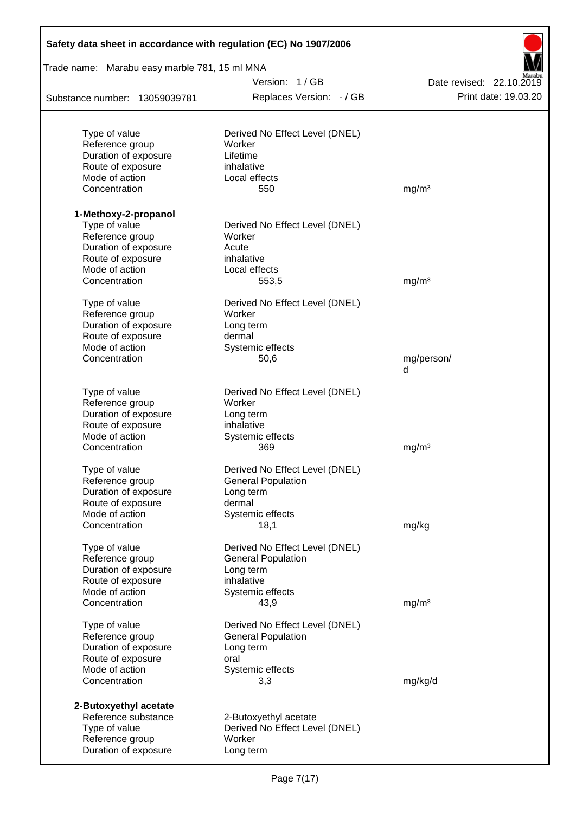| Safety data sheet in accordance with regulation (EC) No 1907/2006 |                                          |                          |  |  |  |  |  |
|-------------------------------------------------------------------|------------------------------------------|--------------------------|--|--|--|--|--|
| Trade name: Marabu easy marble 781, 15 ml MNA                     |                                          |                          |  |  |  |  |  |
|                                                                   | Version: 1/GB                            | Date revised: 22.10.2019 |  |  |  |  |  |
| Substance number: 13059039781                                     | Replaces Version: - / GB                 | Print date: 19.03.20     |  |  |  |  |  |
|                                                                   |                                          |                          |  |  |  |  |  |
| Type of value<br>Reference group                                  | Derived No Effect Level (DNEL)<br>Worker |                          |  |  |  |  |  |
| Duration of exposure                                              | Lifetime                                 |                          |  |  |  |  |  |
| Route of exposure                                                 | inhalative                               |                          |  |  |  |  |  |
| Mode of action                                                    | Local effects                            |                          |  |  |  |  |  |
| Concentration                                                     | 550                                      | mg/m <sup>3</sup>        |  |  |  |  |  |
| 1-Methoxy-2-propanol                                              |                                          |                          |  |  |  |  |  |
| Type of value                                                     | Derived No Effect Level (DNEL)           |                          |  |  |  |  |  |
| Reference group                                                   | Worker                                   |                          |  |  |  |  |  |
| Duration of exposure                                              | Acute                                    |                          |  |  |  |  |  |
| Route of exposure                                                 | inhalative                               |                          |  |  |  |  |  |
| Mode of action                                                    | Local effects                            |                          |  |  |  |  |  |
| Concentration                                                     | 553,5                                    | mg/m <sup>3</sup>        |  |  |  |  |  |
| Type of value                                                     | Derived No Effect Level (DNEL)<br>Worker |                          |  |  |  |  |  |
| Reference group<br>Duration of exposure                           | Long term                                |                          |  |  |  |  |  |
| Route of exposure                                                 | dermal                                   |                          |  |  |  |  |  |
| Mode of action                                                    | Systemic effects                         |                          |  |  |  |  |  |
| Concentration                                                     | 50,6                                     | mg/person/               |  |  |  |  |  |
|                                                                   |                                          | d                        |  |  |  |  |  |
| Type of value                                                     | Derived No Effect Level (DNEL)           |                          |  |  |  |  |  |
| Reference group                                                   | Worker                                   |                          |  |  |  |  |  |
| Duration of exposure                                              | Long term                                |                          |  |  |  |  |  |
| Route of exposure                                                 | inhalative                               |                          |  |  |  |  |  |
| Mode of action                                                    | Systemic effects                         |                          |  |  |  |  |  |
| Concentration                                                     | 369                                      | mg/m <sup>3</sup>        |  |  |  |  |  |
| Type of value                                                     | Derived No Effect Level (DNEL)           |                          |  |  |  |  |  |
| Reference group                                                   | <b>General Population</b>                |                          |  |  |  |  |  |
| Duration of exposure                                              | Long term                                |                          |  |  |  |  |  |
| Route of exposure                                                 | dermal                                   |                          |  |  |  |  |  |
| Mode of action                                                    | Systemic effects                         |                          |  |  |  |  |  |
| Concentration                                                     | 18,1                                     | mg/kg                    |  |  |  |  |  |
| Type of value                                                     | Derived No Effect Level (DNEL)           |                          |  |  |  |  |  |
| Reference group                                                   | <b>General Population</b>                |                          |  |  |  |  |  |
| Duration of exposure                                              | Long term                                |                          |  |  |  |  |  |
| Route of exposure                                                 | inhalative                               |                          |  |  |  |  |  |
| Mode of action<br>Concentration                                   | Systemic effects<br>43,9                 | mg/m <sup>3</sup>        |  |  |  |  |  |
|                                                                   |                                          |                          |  |  |  |  |  |
| Type of value                                                     | Derived No Effect Level (DNEL)           |                          |  |  |  |  |  |
| Reference group<br>Duration of exposure                           | <b>General Population</b>                |                          |  |  |  |  |  |
| Route of exposure                                                 | Long term<br>oral                        |                          |  |  |  |  |  |
| Mode of action                                                    | Systemic effects                         |                          |  |  |  |  |  |
| Concentration                                                     | 3,3                                      | mg/kg/d                  |  |  |  |  |  |
| 2-Butoxyethyl acetate                                             |                                          |                          |  |  |  |  |  |
| Reference substance                                               | 2-Butoxyethyl acetate                    |                          |  |  |  |  |  |
| Type of value                                                     | Derived No Effect Level (DNEL)           |                          |  |  |  |  |  |
| Reference group                                                   | Worker                                   |                          |  |  |  |  |  |
| Duration of exposure                                              | Long term                                |                          |  |  |  |  |  |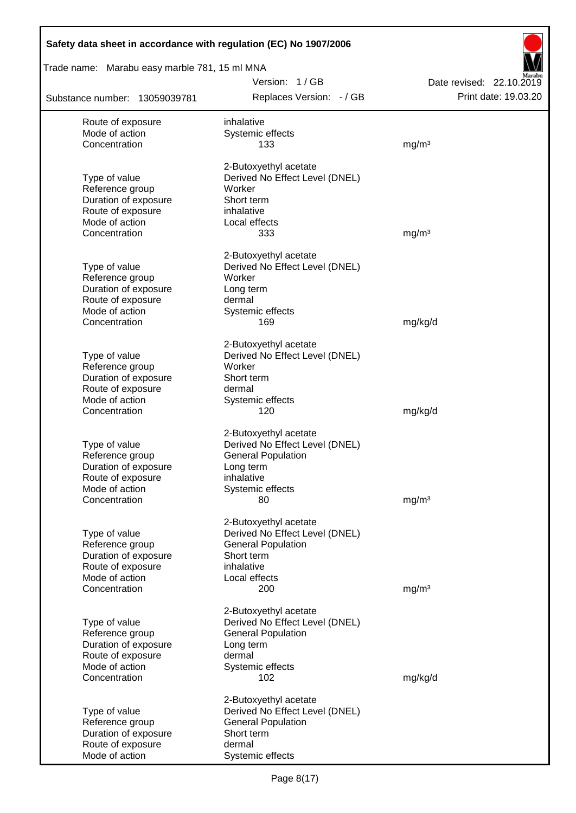| Safety data sheet in accordance with regulation (EC) No 1907/2006 |                                           |                                                  |
|-------------------------------------------------------------------|-------------------------------------------|--------------------------------------------------|
| Trade name: Marabu easy marble 781, 15 ml MNA                     |                                           |                                                  |
| Substance number: 13059039781                                     | Version: 1/GB<br>Replaces Version: - / GB | Date revised: 22.10.2019<br>Print date: 19.03.20 |
| Route of exposure                                                 | inhalative                                |                                                  |
| Mode of action                                                    | Systemic effects                          |                                                  |
| Concentration                                                     | 133                                       | mg/m <sup>3</sup>                                |
|                                                                   | 2-Butoxyethyl acetate                     |                                                  |
| Type of value                                                     | Derived No Effect Level (DNEL)            |                                                  |
| Reference group                                                   | Worker                                    |                                                  |
| Duration of exposure                                              | Short term                                |                                                  |
| Route of exposure<br>Mode of action                               | inhalative<br>Local effects               |                                                  |
| Concentration                                                     | 333                                       | mg/m <sup>3</sup>                                |
|                                                                   | 2-Butoxyethyl acetate                     |                                                  |
| Type of value                                                     | Derived No Effect Level (DNEL)            |                                                  |
| Reference group                                                   | Worker                                    |                                                  |
| Duration of exposure                                              | Long term                                 |                                                  |
| Route of exposure                                                 | dermal                                    |                                                  |
| Mode of action                                                    | Systemic effects                          |                                                  |
| Concentration                                                     | 169                                       | mg/kg/d                                          |
|                                                                   | 2-Butoxyethyl acetate                     |                                                  |
| Type of value                                                     | Derived No Effect Level (DNEL)            |                                                  |
| Reference group                                                   | Worker                                    |                                                  |
| Duration of exposure                                              | Short term                                |                                                  |
| Route of exposure<br>Mode of action                               | dermal                                    |                                                  |
| Concentration                                                     | Systemic effects<br>120                   | mg/kg/d                                          |
|                                                                   |                                           |                                                  |
|                                                                   | 2-Butoxyethyl acetate                     |                                                  |
| Type of value                                                     | Derived No Effect Level (DNEL)            |                                                  |
| Reference group                                                   | <b>General Population</b>                 |                                                  |
| Duration of exposure<br>Route of exposure                         | Long term<br>inhalative                   |                                                  |
| Mode of action                                                    | Systemic effects                          |                                                  |
| Concentration                                                     | 80                                        | mg/m <sup>3</sup>                                |
|                                                                   | 2-Butoxyethyl acetate                     |                                                  |
| Type of value                                                     | Derived No Effect Level (DNEL)            |                                                  |
| Reference group                                                   | <b>General Population</b>                 |                                                  |
| Duration of exposure                                              | Short term                                |                                                  |
| Route of exposure                                                 | inhalative                                |                                                  |
| Mode of action                                                    | Local effects                             |                                                  |
| Concentration                                                     | 200                                       | mg/m <sup>3</sup>                                |
|                                                                   | 2-Butoxyethyl acetate                     |                                                  |
| Type of value                                                     | Derived No Effect Level (DNEL)            |                                                  |
| Reference group                                                   | <b>General Population</b>                 |                                                  |
| Duration of exposure<br>Route of exposure                         | Long term<br>dermal                       |                                                  |
| Mode of action                                                    | Systemic effects                          |                                                  |
| Concentration                                                     | 102                                       | mg/kg/d                                          |
|                                                                   | 2-Butoxyethyl acetate                     |                                                  |
| Type of value                                                     | Derived No Effect Level (DNEL)            |                                                  |
| Reference group                                                   | <b>General Population</b>                 |                                                  |
| Duration of exposure                                              | Short term                                |                                                  |
| Route of exposure                                                 | dermal                                    |                                                  |
| Mode of action                                                    | Systemic effects                          |                                                  |

Ī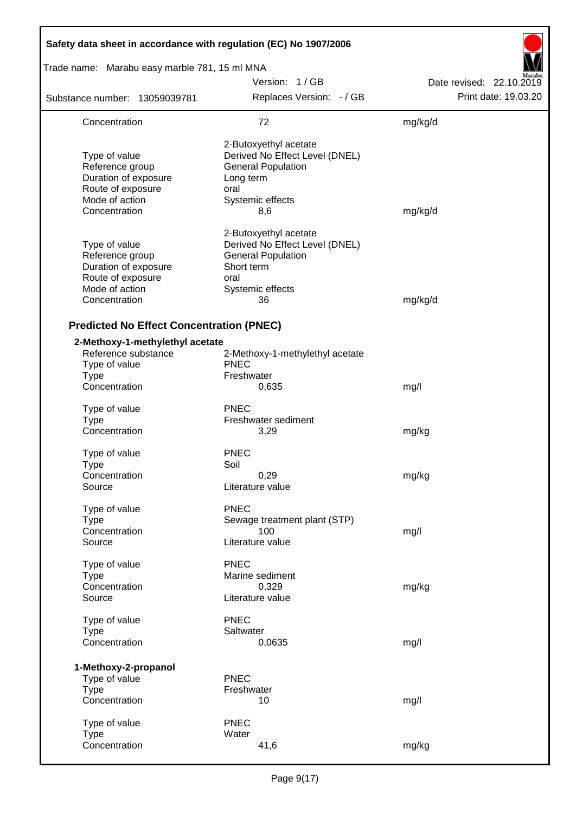| Safety data sheet in accordance with regulation (EC) No 1907/2006                                                |                                                                                                                                      |                          |  |  |  |  |
|------------------------------------------------------------------------------------------------------------------|--------------------------------------------------------------------------------------------------------------------------------------|--------------------------|--|--|--|--|
| Trade name: Marabu easy marble 781, 15 ml MNA                                                                    |                                                                                                                                      |                          |  |  |  |  |
|                                                                                                                  | Version: 1/GB                                                                                                                        | Date revised: 22.10.2019 |  |  |  |  |
| Substance number: 13059039781                                                                                    | Replaces Version: - / GB                                                                                                             | Print date: 19.03.20     |  |  |  |  |
| Concentration                                                                                                    | 72                                                                                                                                   | mg/kg/d                  |  |  |  |  |
| Type of value<br>Reference group<br>Duration of exposure<br>Route of exposure<br>Mode of action<br>Concentration | 2-Butoxyethyl acetate<br>Derived No Effect Level (DNEL)<br><b>General Population</b><br>Long term<br>oral<br>Systemic effects<br>8,6 | mg/kg/d                  |  |  |  |  |
| Type of value<br>Reference group<br>Duration of exposure<br>Route of exposure<br>Mode of action<br>Concentration | 2-Butoxyethyl acetate<br>Derived No Effect Level (DNEL)<br><b>General Population</b><br>Short term<br>oral<br>Systemic effects<br>36 | mg/kg/d                  |  |  |  |  |
| <b>Predicted No Effect Concentration (PNEC)</b>                                                                  |                                                                                                                                      |                          |  |  |  |  |
| 2-Methoxy-1-methylethyl acetate<br>Reference substance<br>Type of value<br><b>Type</b><br>Concentration          | 2-Methoxy-1-methylethyl acetate<br><b>PNEC</b><br>Freshwater<br>0,635                                                                | mg/l                     |  |  |  |  |
| Type of value<br><b>Type</b><br>Concentration                                                                    | <b>PNEC</b><br>Freshwater sediment<br>3,29                                                                                           | mg/kg                    |  |  |  |  |
| Type of value<br><b>Type</b><br>Concentration<br>Source                                                          | <b>PNEC</b><br>Soil<br>0,29<br>Literature value                                                                                      | mg/kg                    |  |  |  |  |
| Type of value<br><b>Type</b><br>Concentration<br>Source                                                          | <b>PNEC</b><br>Sewage treatment plant (STP)<br>100<br>Literature value                                                               | mg/l                     |  |  |  |  |
| Type of value<br><b>Type</b><br>Concentration<br>Source                                                          | <b>PNEC</b><br>Marine sediment<br>0,329<br>Literature value                                                                          | mg/kg                    |  |  |  |  |
| Type of value<br><b>Type</b><br>Concentration                                                                    | <b>PNEC</b><br>Saltwater<br>0,0635                                                                                                   | mg/l                     |  |  |  |  |
| 1-Methoxy-2-propanol<br>Type of value<br><b>Type</b><br>Concentration                                            | <b>PNEC</b><br>Freshwater<br>10                                                                                                      | mg/l                     |  |  |  |  |
| Type of value<br><b>Type</b><br>Concentration                                                                    | <b>PNEC</b><br>Water<br>41,6                                                                                                         | mg/kg                    |  |  |  |  |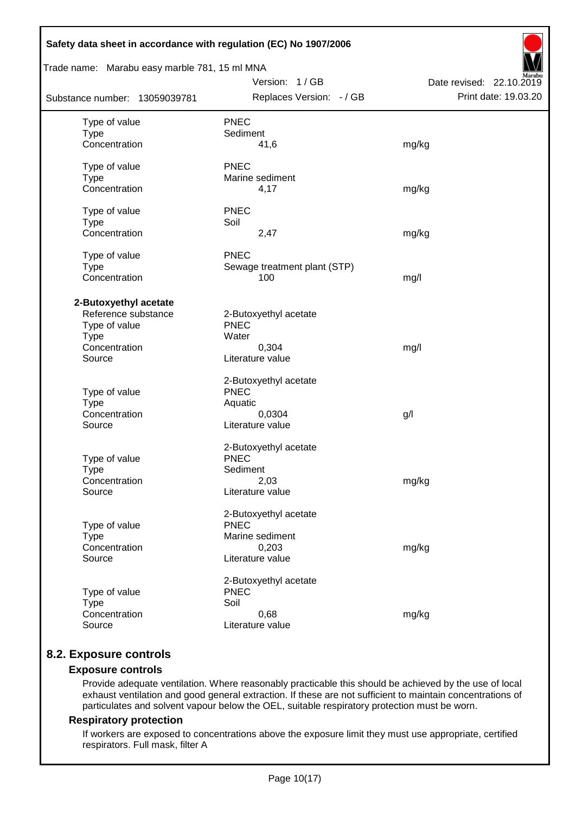| Safety data sheet in accordance with regulation (EC) No 1907/2006                                       |                                                                                      |                                                  |
|---------------------------------------------------------------------------------------------------------|--------------------------------------------------------------------------------------|--------------------------------------------------|
| Trade name: Marabu easy marble 781, 15 ml MNA                                                           |                                                                                      |                                                  |
| Substance number: 13059039781                                                                           | Version: 1 / GB<br>Replaces Version: - / GB                                          | Date revised: 22.10.2019<br>Print date: 19.03.20 |
| Type of value<br><b>Type</b><br>Concentration                                                           | <b>PNEC</b><br>Sediment<br>41,6                                                      | mg/kg                                            |
| Type of value<br><b>Type</b><br>Concentration                                                           | <b>PNEC</b><br>Marine sediment<br>4,17                                               | mg/kg                                            |
| Type of value<br><b>Type</b><br>Concentration                                                           | <b>PNEC</b><br>Soil<br>2,47                                                          | mg/kg                                            |
| Type of value<br><b>Type</b><br>Concentration                                                           | <b>PNEC</b><br>Sewage treatment plant (STP)<br>100                                   | mg/l                                             |
| 2-Butoxyethyl acetate<br>Reference substance<br>Type of value<br><b>Type</b><br>Concentration<br>Source | 2-Butoxyethyl acetate<br><b>PNEC</b><br>Water<br>0,304<br>Literature value           | mg/l                                             |
| Type of value<br><b>Type</b><br>Concentration<br>Source                                                 | 2-Butoxyethyl acetate<br><b>PNEC</b><br>Aquatic<br>0,0304<br>Literature value        | g/                                               |
| Type of value<br><b>Type</b><br>Concentration<br>Source                                                 | 2-Butoxyethyl acetate<br><b>PNEC</b><br>Sediment<br>2,03<br>Literature value         | mg/kg                                            |
| Type of value<br><b>Type</b><br>Concentration<br>Source                                                 | 2-Butoxyethyl acetate<br><b>PNEC</b><br>Marine sediment<br>0,203<br>Literature value | mg/kg                                            |
| Type of value<br><b>Type</b><br>Concentration<br>Source                                                 | 2-Butoxyethyl acetate<br><b>PNEC</b><br>Soil<br>0,68<br>Literature value             | mg/kg                                            |

# **8.2. Exposure controls**

## **Exposure controls**

Provide adequate ventilation. Where reasonably practicable this should be achieved by the use of local exhaust ventilation and good general extraction. If these are not sufficient to maintain concentrations of particulates and solvent vapour below the OEL, suitable respiratory protection must be worn.

#### **Respiratory protection**

If workers are exposed to concentrations above the exposure limit they must use appropriate, certified respirators. Full mask, filter A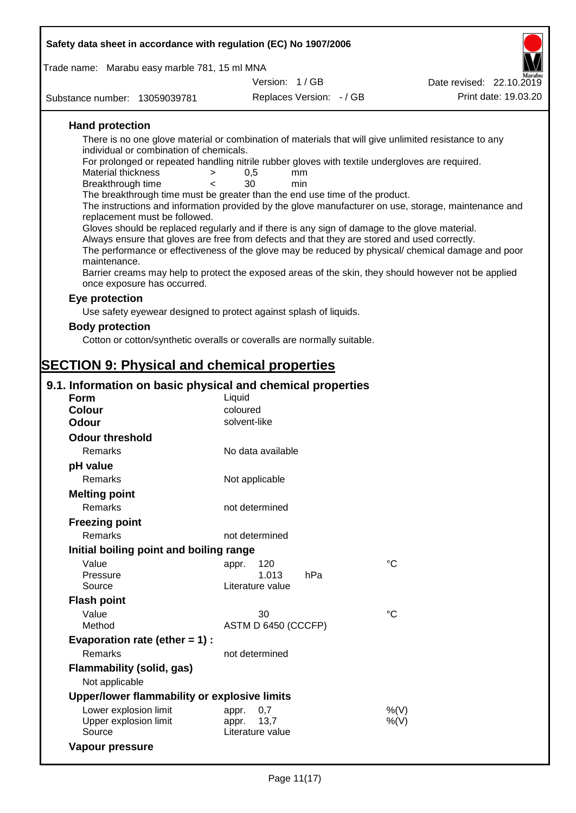| Safety data sheet in accordance with regulation (EC) No 1907/2006                                                               |                                                                                                                                                                                                                                                                                                                                                                                                                                              |                                                  |  |  |  |  |  |  |
|---------------------------------------------------------------------------------------------------------------------------------|----------------------------------------------------------------------------------------------------------------------------------------------------------------------------------------------------------------------------------------------------------------------------------------------------------------------------------------------------------------------------------------------------------------------------------------------|--------------------------------------------------|--|--|--|--|--|--|
|                                                                                                                                 |                                                                                                                                                                                                                                                                                                                                                                                                                                              |                                                  |  |  |  |  |  |  |
|                                                                                                                                 | Trade name: Marabu easy marble 781, 15 ml MNA<br>Version: 1/GB                                                                                                                                                                                                                                                                                                                                                                               |                                                  |  |  |  |  |  |  |
| Substance number: 13059039781                                                                                                   | Replaces Version: - / GB                                                                                                                                                                                                                                                                                                                                                                                                                     | Date revised: 22.10.2019<br>Print date: 19.03.20 |  |  |  |  |  |  |
|                                                                                                                                 |                                                                                                                                                                                                                                                                                                                                                                                                                                              |                                                  |  |  |  |  |  |  |
| <b>Hand protection</b>                                                                                                          |                                                                                                                                                                                                                                                                                                                                                                                                                                              |                                                  |  |  |  |  |  |  |
| individual or combination of chemicals.<br><b>Material thickness</b><br>$\geq$<br>Breakthrough time<br>$\overline{\phantom{0}}$ | There is no one glove material or combination of materials that will give unlimited resistance to any<br>For prolonged or repeated handling nitrile rubber gloves with textile undergloves are required.<br>0,5<br>mm<br>30<br>min<br>The breakthrough time must be greater than the end use time of the product.<br>The instructions and information provided by the glove manufacturer on use, storage, maintenance and                    |                                                  |  |  |  |  |  |  |
| maintenance.<br>once exposure has occurred.                                                                                     | replacement must be followed.<br>Gloves should be replaced regularly and if there is any sign of damage to the glove material.<br>Always ensure that gloves are free from defects and that they are stored and used correctly.<br>The performance or effectiveness of the glove may be reduced by physical/ chemical damage and poor<br>Barrier creams may help to protect the exposed areas of the skin, they should however not be applied |                                                  |  |  |  |  |  |  |
| Eye protection                                                                                                                  |                                                                                                                                                                                                                                                                                                                                                                                                                                              |                                                  |  |  |  |  |  |  |
|                                                                                                                                 | Use safety eyewear designed to protect against splash of liquids.                                                                                                                                                                                                                                                                                                                                                                            |                                                  |  |  |  |  |  |  |
| <b>Body protection</b>                                                                                                          |                                                                                                                                                                                                                                                                                                                                                                                                                                              |                                                  |  |  |  |  |  |  |
|                                                                                                                                 | Cotton or cotton/synthetic overalls or coveralls are normally suitable.                                                                                                                                                                                                                                                                                                                                                                      |                                                  |  |  |  |  |  |  |
|                                                                                                                                 |                                                                                                                                                                                                                                                                                                                                                                                                                                              |                                                  |  |  |  |  |  |  |
| <b>SECTION 9: Physical and chemical properties</b>                                                                              |                                                                                                                                                                                                                                                                                                                                                                                                                                              |                                                  |  |  |  |  |  |  |
| 9.1. Information on basic physical and chemical properties                                                                      |                                                                                                                                                                                                                                                                                                                                                                                                                                              |                                                  |  |  |  |  |  |  |
| Form                                                                                                                            | Liquid                                                                                                                                                                                                                                                                                                                                                                                                                                       |                                                  |  |  |  |  |  |  |
| <b>Colour</b><br><b>Odour</b>                                                                                                   | coloured<br>solvent-like                                                                                                                                                                                                                                                                                                                                                                                                                     |                                                  |  |  |  |  |  |  |
| <b>Odour threshold</b>                                                                                                          |                                                                                                                                                                                                                                                                                                                                                                                                                                              |                                                  |  |  |  |  |  |  |
| Remarks                                                                                                                         | No data available                                                                                                                                                                                                                                                                                                                                                                                                                            |                                                  |  |  |  |  |  |  |
| pH value                                                                                                                        |                                                                                                                                                                                                                                                                                                                                                                                                                                              |                                                  |  |  |  |  |  |  |
| Remarks                                                                                                                         | Not applicable                                                                                                                                                                                                                                                                                                                                                                                                                               |                                                  |  |  |  |  |  |  |
| <b>Melting point</b>                                                                                                            |                                                                                                                                                                                                                                                                                                                                                                                                                                              |                                                  |  |  |  |  |  |  |
| Remarks                                                                                                                         | not determined                                                                                                                                                                                                                                                                                                                                                                                                                               |                                                  |  |  |  |  |  |  |
| <b>Freezing point</b>                                                                                                           |                                                                                                                                                                                                                                                                                                                                                                                                                                              |                                                  |  |  |  |  |  |  |
| <b>Remarks</b>                                                                                                                  | not determined                                                                                                                                                                                                                                                                                                                                                                                                                               |                                                  |  |  |  |  |  |  |
| Initial boiling point and boiling range                                                                                         |                                                                                                                                                                                                                                                                                                                                                                                                                                              |                                                  |  |  |  |  |  |  |
| Value<br>Pressure<br>Source                                                                                                     | 120<br>appr.<br>1.013<br>hPa<br>Literature value                                                                                                                                                                                                                                                                                                                                                                                             | $^{\circ}C$                                      |  |  |  |  |  |  |
| <b>Flash point</b>                                                                                                              |                                                                                                                                                                                                                                                                                                                                                                                                                                              |                                                  |  |  |  |  |  |  |
| Value                                                                                                                           | 30                                                                                                                                                                                                                                                                                                                                                                                                                                           | $\rm ^{\circ}C$                                  |  |  |  |  |  |  |
| Method                                                                                                                          | ASTM D 6450 (CCCFP)                                                                                                                                                                                                                                                                                                                                                                                                                          |                                                  |  |  |  |  |  |  |
| Evaporation rate (ether $= 1$ ) :                                                                                               |                                                                                                                                                                                                                                                                                                                                                                                                                                              |                                                  |  |  |  |  |  |  |
| Remarks                                                                                                                         | not determined                                                                                                                                                                                                                                                                                                                                                                                                                               |                                                  |  |  |  |  |  |  |
| <b>Flammability (solid, gas)</b><br>Not applicable                                                                              |                                                                                                                                                                                                                                                                                                                                                                                                                                              |                                                  |  |  |  |  |  |  |
| Upper/lower flammability or explosive limits                                                                                    |                                                                                                                                                                                                                                                                                                                                                                                                                                              |                                                  |  |  |  |  |  |  |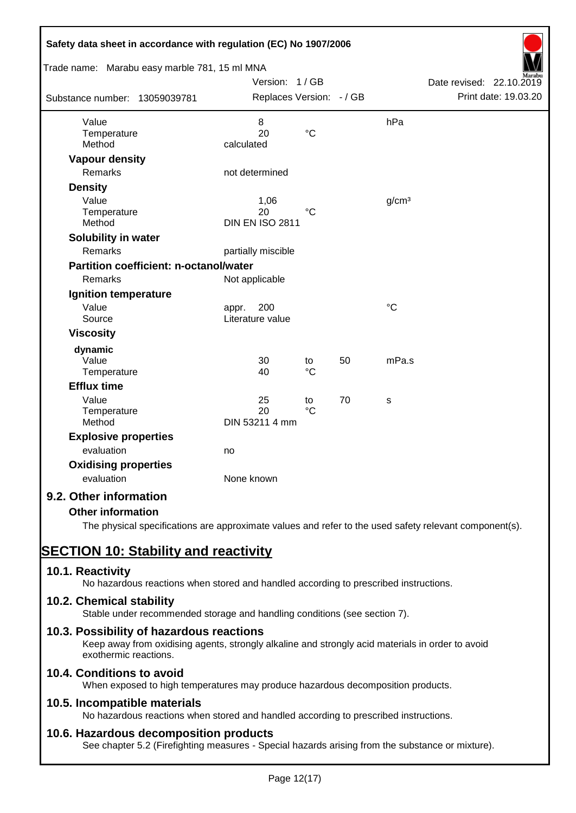| Safety data sheet in accordance with regulation (EC) No 1907/2006<br>Trade name: Marabu easy marble 781, 15 ml MNA |                          |                   |    |                   |                          |
|--------------------------------------------------------------------------------------------------------------------|--------------------------|-------------------|----|-------------------|--------------------------|
|                                                                                                                    | Version: 1/GB            |                   |    |                   | Date revised: 22.10.2019 |
| Substance number: 13059039781                                                                                      | Replaces Version: - / GB |                   |    |                   | Print date: 19.03.20     |
| Value                                                                                                              | 8                        |                   |    | hPa               |                          |
| Temperature<br>Method                                                                                              | 20<br>calculated         | $\rm ^{\circ}C$   |    |                   |                          |
| <b>Vapour density</b>                                                                                              |                          |                   |    |                   |                          |
| <b>Remarks</b>                                                                                                     | not determined           |                   |    |                   |                          |
| <b>Density</b>                                                                                                     |                          |                   |    |                   |                          |
| Value                                                                                                              | 1,06                     |                   |    | g/cm <sup>3</sup> |                          |
| Temperature                                                                                                        | 20                       | $^{\circ}C$       |    |                   |                          |
| Method                                                                                                             | <b>DIN EN ISO 2811</b>   |                   |    |                   |                          |
| Solubility in water                                                                                                |                          |                   |    |                   |                          |
| <b>Remarks</b>                                                                                                     | partially miscible       |                   |    |                   |                          |
| Partition coefficient: n-octanol/water                                                                             |                          |                   |    |                   |                          |
| Remarks                                                                                                            | Not applicable           |                   |    |                   |                          |
| Ignition temperature                                                                                               |                          |                   |    |                   |                          |
| Value                                                                                                              | 200<br>appr.             |                   |    | °C                |                          |
| Source                                                                                                             | Literature value         |                   |    |                   |                          |
| <b>Viscosity</b>                                                                                                   |                          |                   |    |                   |                          |
| dynamic                                                                                                            |                          |                   |    |                   |                          |
| Value<br>Temperature                                                                                               | 30<br>40                 | to<br>$^{\circ}C$ | 50 | mPa.s             |                          |
| <b>Efflux time</b>                                                                                                 |                          |                   |    |                   |                          |
| Value                                                                                                              | 25                       | to                | 70 | s                 |                          |
| Temperature                                                                                                        | 20                       | $\rm ^{\circ}C$   |    |                   |                          |
| Method                                                                                                             | DIN 53211 4 mm           |                   |    |                   |                          |
| <b>Explosive properties</b>                                                                                        |                          |                   |    |                   |                          |
| evaluation                                                                                                         | no                       |                   |    |                   |                          |
| <b>Oxidising properties</b>                                                                                        |                          |                   |    |                   |                          |
| evaluation                                                                                                         | None known               |                   |    |                   |                          |
| 9.2. Other information                                                                                             |                          |                   |    |                   |                          |
| <b>Other information</b>                                                                                           |                          |                   |    |                   |                          |

The physical specifications are approximate values and refer to the used safety relevant component(s).

# **SECTION 10: Stability and reactivity**

# **10.1. Reactivity**

No hazardous reactions when stored and handled according to prescribed instructions.

# **10.2. Chemical stability**

Stable under recommended storage and handling conditions (see section 7).

# **10.3. Possibility of hazardous reactions**

Keep away from oxidising agents, strongly alkaline and strongly acid materials in order to avoid exothermic reactions.

# **10.4. Conditions to avoid**

When exposed to high temperatures may produce hazardous decomposition products.

# **10.5. Incompatible materials**

No hazardous reactions when stored and handled according to prescribed instructions.

# **10.6. Hazardous decomposition products**

See chapter 5.2 (Firefighting measures - Special hazards arising from the substance or mixture).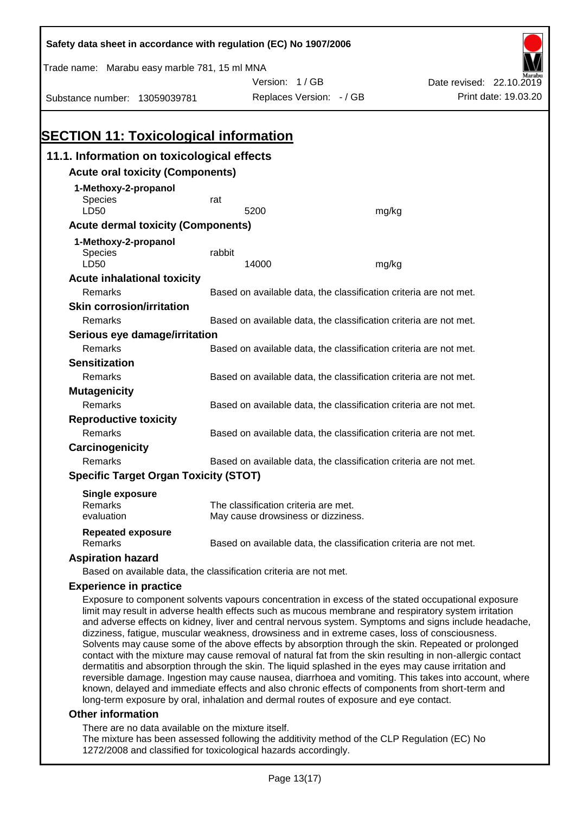| Safety data sheet in accordance with regulation (EC) No 1907/2006                                                                                                                                          |                                                                                                    |                                                                            |                                                                   |                                                                                                      |  |  |  |
|------------------------------------------------------------------------------------------------------------------------------------------------------------------------------------------------------------|----------------------------------------------------------------------------------------------------|----------------------------------------------------------------------------|-------------------------------------------------------------------|------------------------------------------------------------------------------------------------------|--|--|--|
| Trade name: Marabu easy marble 781, 15 ml MNA                                                                                                                                                              |                                                                                                    |                                                                            |                                                                   |                                                                                                      |  |  |  |
|                                                                                                                                                                                                            |                                                                                                    | Version: 1/GB                                                              |                                                                   | Date revised: 22.10.2019                                                                             |  |  |  |
| Substance number: 13059039781                                                                                                                                                                              |                                                                                                    | Replaces Version: - / GB                                                   |                                                                   | Print date: 19.03.20                                                                                 |  |  |  |
|                                                                                                                                                                                                            |                                                                                                    |                                                                            |                                                                   |                                                                                                      |  |  |  |
|                                                                                                                                                                                                            |                                                                                                    |                                                                            |                                                                   |                                                                                                      |  |  |  |
| <b>SECTION 11: Toxicological information</b>                                                                                                                                                               |                                                                                                    |                                                                            |                                                                   |                                                                                                      |  |  |  |
| 11.1. Information on toxicological effects                                                                                                                                                                 |                                                                                                    |                                                                            |                                                                   |                                                                                                      |  |  |  |
| <b>Acute oral toxicity (Components)</b>                                                                                                                                                                    |                                                                                                    |                                                                            |                                                                   |                                                                                                      |  |  |  |
| 1-Methoxy-2-propanol                                                                                                                                                                                       |                                                                                                    |                                                                            |                                                                   |                                                                                                      |  |  |  |
| Species                                                                                                                                                                                                    | rat                                                                                                |                                                                            |                                                                   |                                                                                                      |  |  |  |
| LD50                                                                                                                                                                                                       |                                                                                                    | 5200                                                                       | mg/kg                                                             |                                                                                                      |  |  |  |
| <b>Acute dermal toxicity (Components)</b>                                                                                                                                                                  |                                                                                                    |                                                                            |                                                                   |                                                                                                      |  |  |  |
| 1-Methoxy-2-propanol                                                                                                                                                                                       |                                                                                                    |                                                                            |                                                                   |                                                                                                      |  |  |  |
| Species<br><b>LD50</b>                                                                                                                                                                                     | rabbit                                                                                             |                                                                            |                                                                   |                                                                                                      |  |  |  |
|                                                                                                                                                                                                            |                                                                                                    | 14000                                                                      | mg/kg                                                             |                                                                                                      |  |  |  |
| <b>Acute inhalational toxicity</b><br>Remarks                                                                                                                                                              |                                                                                                    |                                                                            | Based on available data, the classification criteria are not met. |                                                                                                      |  |  |  |
| <b>Skin corrosion/irritation</b>                                                                                                                                                                           |                                                                                                    |                                                                            |                                                                   |                                                                                                      |  |  |  |
| Remarks                                                                                                                                                                                                    |                                                                                                    |                                                                            | Based on available data, the classification criteria are not met. |                                                                                                      |  |  |  |
|                                                                                                                                                                                                            |                                                                                                    |                                                                            |                                                                   |                                                                                                      |  |  |  |
| Remarks                                                                                                                                                                                                    | Serious eye damage/irritation<br>Based on available data, the classification criteria are not met. |                                                                            |                                                                   |                                                                                                      |  |  |  |
| <b>Sensitization</b>                                                                                                                                                                                       |                                                                                                    |                                                                            |                                                                   |                                                                                                      |  |  |  |
| Remarks                                                                                                                                                                                                    |                                                                                                    |                                                                            | Based on available data, the classification criteria are not met. |                                                                                                      |  |  |  |
|                                                                                                                                                                                                            |                                                                                                    |                                                                            |                                                                   |                                                                                                      |  |  |  |
| Remarks                                                                                                                                                                                                    | <b>Mutagenicity</b><br>Based on available data, the classification criteria are not met.           |                                                                            |                                                                   |                                                                                                      |  |  |  |
| <b>Reproductive toxicity</b>                                                                                                                                                                               |                                                                                                    |                                                                            |                                                                   |                                                                                                      |  |  |  |
| Remarks                                                                                                                                                                                                    |                                                                                                    |                                                                            | Based on available data, the classification criteria are not met. |                                                                                                      |  |  |  |
| Carcinogenicity                                                                                                                                                                                            |                                                                                                    |                                                                            |                                                                   |                                                                                                      |  |  |  |
| Remarks                                                                                                                                                                                                    |                                                                                                    |                                                                            | Based on available data, the classification criteria are not met. |                                                                                                      |  |  |  |
| <b>Specific Target Organ Toxicity (STOT)</b>                                                                                                                                                               |                                                                                                    |                                                                            |                                                                   |                                                                                                      |  |  |  |
|                                                                                                                                                                                                            |                                                                                                    |                                                                            |                                                                   |                                                                                                      |  |  |  |
| <b>Single exposure</b>                                                                                                                                                                                     |                                                                                                    |                                                                            |                                                                   |                                                                                                      |  |  |  |
| Remarks<br>evaluation                                                                                                                                                                                      |                                                                                                    | The classification criteria are met.<br>May cause drowsiness or dizziness. |                                                                   |                                                                                                      |  |  |  |
| <b>Repeated exposure</b>                                                                                                                                                                                   |                                                                                                    |                                                                            |                                                                   |                                                                                                      |  |  |  |
| Remarks                                                                                                                                                                                                    |                                                                                                    |                                                                            | Based on available data, the classification criteria are not met. |                                                                                                      |  |  |  |
| <b>Aspiration hazard</b>                                                                                                                                                                                   |                                                                                                    |                                                                            |                                                                   |                                                                                                      |  |  |  |
| Based on available data, the classification criteria are not met.                                                                                                                                          |                                                                                                    |                                                                            |                                                                   |                                                                                                      |  |  |  |
| <b>Experience in practice</b>                                                                                                                                                                              |                                                                                                    |                                                                            |                                                                   |                                                                                                      |  |  |  |
| Exposure to component solvents vapours concentration in excess of the stated occupational exposure<br>limit may result in adverse health effects such as mucous membrane and respiratory system irritation |                                                                                                    |                                                                            |                                                                   | ed educione offecto en kidnou, liver end central nemicus ovatom. Cymptomo end ciano include heedecho |  |  |  |

and adverse effects on kidney, liver and central nervous system. Symptoms and signs include headache, dizziness, fatigue, muscular weakness, drowsiness and in extreme cases, loss of consciousness. Solvents may cause some of the above effects by absorption through the skin. Repeated or prolonged contact with the mixture may cause removal of natural fat from the skin resulting in non-allergic contact dermatitis and absorption through the skin. The liquid splashed in the eyes may cause irritation and reversible damage. Ingestion may cause nausea, diarrhoea and vomiting. This takes into account, where known, delayed and immediate effects and also chronic effects of components from short-term and long-term exposure by oral, inhalation and dermal routes of exposure and eye contact.

#### **Other information**

There are no data available on the mixture itself.

The mixture has been assessed following the additivity method of the CLP Regulation (EC) No 1272/2008 and classified for toxicological hazards accordingly.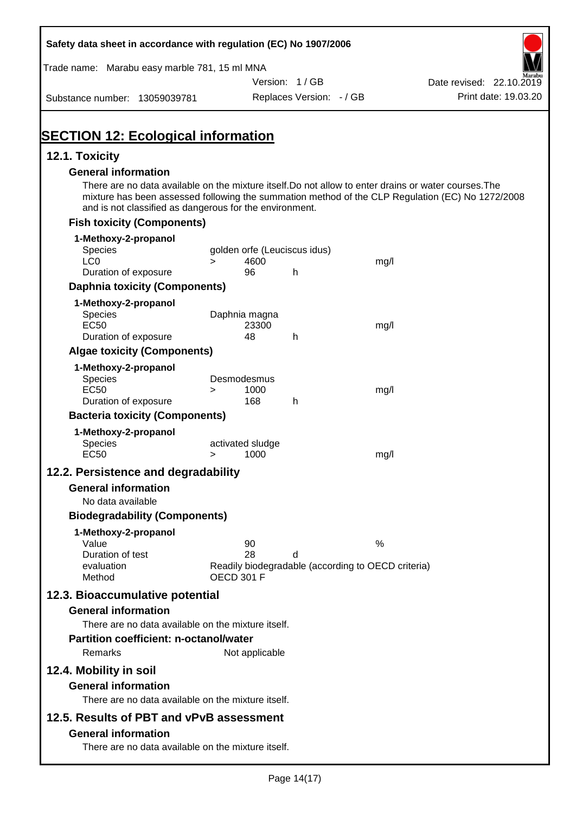| Safety data sheet in accordance with regulation (EC) No 1907/2006                                                                                                |                            |                |                              |                                                    |                                                                                                  |
|------------------------------------------------------------------------------------------------------------------------------------------------------------------|----------------------------|----------------|------------------------------|----------------------------------------------------|--------------------------------------------------------------------------------------------------|
| Trade name: Marabu easy marble 781, 15 ml MNA                                                                                                                    |                            |                |                              |                                                    |                                                                                                  |
|                                                                                                                                                                  |                            |                | Version: 1/GB                |                                                    | Date revised: 22.10.2019                                                                         |
| Substance number: 13059039781                                                                                                                                    |                            |                | Replaces Version: - / GB     |                                                    | Print date: 19.03.20                                                                             |
| <b>SECTION 12: Ecological information</b>                                                                                                                        |                            |                |                              |                                                    |                                                                                                  |
| 12.1. Toxicity                                                                                                                                                   |                            |                |                              |                                                    |                                                                                                  |
| <b>General information</b>                                                                                                                                       |                            |                |                              |                                                    |                                                                                                  |
| There are no data available on the mixture itself. Do not allow to enter drains or water courses. The<br>and is not classified as dangerous for the environment. |                            |                |                              |                                                    | mixture has been assessed following the summation method of the CLP Regulation (EC) No 1272/2008 |
| <b>Fish toxicity (Components)</b>                                                                                                                                |                            |                |                              |                                                    |                                                                                                  |
| 1-Methoxy-2-propanol                                                                                                                                             |                            |                |                              |                                                    |                                                                                                  |
| <b>Species</b>                                                                                                                                                   |                            |                | golden orfe (Leuciscus idus) |                                                    |                                                                                                  |
| LC <sub>0</sub><br>Duration of exposure                                                                                                                          | $\geq$                     | 4600<br>96     | h                            | mg/l                                               |                                                                                                  |
| <b>Daphnia toxicity (Components)</b>                                                                                                                             |                            |                |                              |                                                    |                                                                                                  |
| 1-Methoxy-2-propanol                                                                                                                                             |                            |                |                              |                                                    |                                                                                                  |
| <b>Species</b>                                                                                                                                                   | Daphnia magna              |                |                              |                                                    |                                                                                                  |
| <b>EC50</b>                                                                                                                                                      |                            | 23300          |                              | mg/l                                               |                                                                                                  |
| Duration of exposure                                                                                                                                             |                            | 48             | h                            |                                                    |                                                                                                  |
| <b>Algae toxicity (Components)</b>                                                                                                                               |                            |                |                              |                                                    |                                                                                                  |
| 1-Methoxy-2-propanol<br><b>Species</b>                                                                                                                           | Desmodesmus                |                |                              |                                                    |                                                                                                  |
| <b>EC50</b>                                                                                                                                                      | $\geq$                     | 1000           |                              | mg/l                                               |                                                                                                  |
| Duration of exposure                                                                                                                                             |                            | 168            | h                            |                                                    |                                                                                                  |
| <b>Bacteria toxicity (Components)</b>                                                                                                                            |                            |                |                              |                                                    |                                                                                                  |
| 1-Methoxy-2-propanol                                                                                                                                             |                            |                |                              |                                                    |                                                                                                  |
| Species<br><b>EC50</b>                                                                                                                                           | activated sludge<br>$\geq$ | 1000           |                              | mg/l                                               |                                                                                                  |
| 12.2. Persistence and degradability                                                                                                                              |                            |                |                              |                                                    |                                                                                                  |
| <b>General information</b>                                                                                                                                       |                            |                |                              |                                                    |                                                                                                  |
| No data available                                                                                                                                                |                            |                |                              |                                                    |                                                                                                  |
| <b>Biodegradability (Components)</b>                                                                                                                             |                            |                |                              |                                                    |                                                                                                  |
| 1-Methoxy-2-propanol                                                                                                                                             |                            |                |                              |                                                    |                                                                                                  |
| Value                                                                                                                                                            |                            | 90             |                              | $\%$                                               |                                                                                                  |
| Duration of test<br>evaluation                                                                                                                                   |                            | 28             | d                            | Readily biodegradable (according to OECD criteria) |                                                                                                  |
| Method                                                                                                                                                           | <b>OECD 301 F</b>          |                |                              |                                                    |                                                                                                  |
| 12.3. Bioaccumulative potential                                                                                                                                  |                            |                |                              |                                                    |                                                                                                  |
| <b>General information</b>                                                                                                                                       |                            |                |                              |                                                    |                                                                                                  |
| There are no data available on the mixture itself.                                                                                                               |                            |                |                              |                                                    |                                                                                                  |
| <b>Partition coefficient: n-octanol/water</b>                                                                                                                    |                            |                |                              |                                                    |                                                                                                  |
| Remarks                                                                                                                                                          |                            | Not applicable |                              |                                                    |                                                                                                  |
| 12.4. Mobility in soil                                                                                                                                           |                            |                |                              |                                                    |                                                                                                  |
| <b>General information</b>                                                                                                                                       |                            |                |                              |                                                    |                                                                                                  |
| There are no data available on the mixture itself.                                                                                                               |                            |                |                              |                                                    |                                                                                                  |
| 12.5. Results of PBT and vPvB assessment                                                                                                                         |                            |                |                              |                                                    |                                                                                                  |
| <b>General information</b>                                                                                                                                       |                            |                |                              |                                                    |                                                                                                  |
| There are no data available on the mixture itself.                                                                                                               |                            |                |                              |                                                    |                                                                                                  |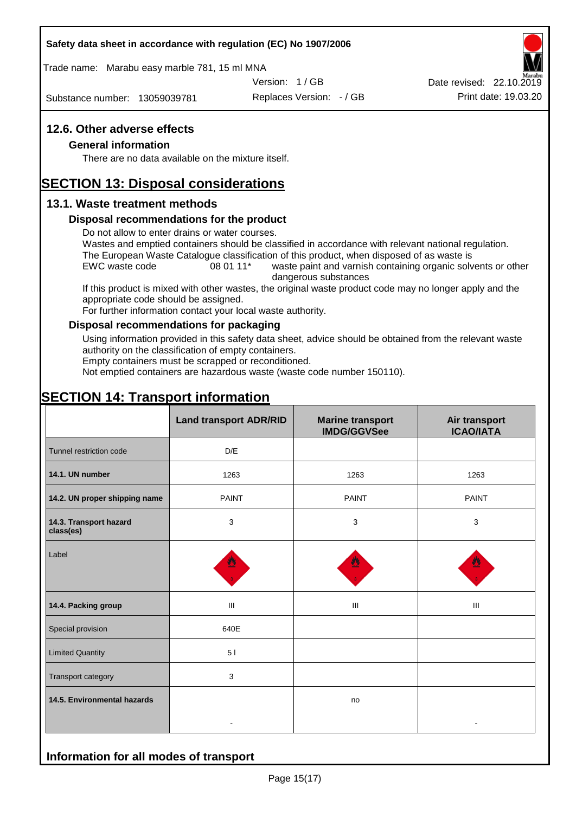#### **Safety data sheet in accordance with regulation (EC) No 1907/2006**

Trade name: Marabu easy marble 781, 15 ml MNA

Version: 1 / GB

Substance number: 13059039781

Replaces Version: - / GB Print date: 19.03.20 Date revised: 22.10.2019

## **12.6. Other adverse effects**

#### **General information**

There are no data available on the mixture itself.

# **SECTION 13: Disposal considerations**

#### **13.1. Waste treatment methods**

#### **Disposal recommendations for the product**

Do not allow to enter drains or water courses.

Wastes and emptied containers should be classified in accordance with relevant national regulation. The European Waste Catalogue classification of this product, when disposed of as waste is

EWC waste code 08 01 11<sup>\*</sup> waste paint and varnish containing organic solvents or other dangerous substances

If this product is mixed with other wastes, the original waste product code may no longer apply and the appropriate code should be assigned.

For further information contact your local waste authority.

#### **Disposal recommendations for packaging**

Using information provided in this safety data sheet, advice should be obtained from the relevant waste authority on the classification of empty containers.

Empty containers must be scrapped or reconditioned.

Not emptied containers are hazardous waste (waste code number 150110).

# **SECTION 14: Transport information**

**Information for all modes of transport**

|                                     | <b>Land transport ADR/RID</b> | <b>Marine transport</b><br><b>IMDG/GGVSee</b> | Air transport<br><b>ICAO/IATA</b> |
|-------------------------------------|-------------------------------|-----------------------------------------------|-----------------------------------|
| Tunnel restriction code             | D/E                           |                                               |                                   |
| 14.1. UN number                     | 1263                          | 1263                                          | 1263                              |
| 14.2. UN proper shipping name       | <b>PAINT</b>                  | <b>PAINT</b>                                  | <b>PAINT</b>                      |
| 14.3. Transport hazard<br>class(es) | 3                             | 3                                             | 3                                 |
| Label                               |                               |                                               |                                   |
| 14.4. Packing group                 | Ш                             | Ш                                             | Ш                                 |
| Special provision                   | 640E                          |                                               |                                   |
| <b>Limited Quantity</b>             | 51                            |                                               |                                   |
| Transport category                  | 3                             |                                               |                                   |
| 14.5. Environmental hazards         | $\blacksquare$                | no                                            |                                   |
|                                     |                               |                                               |                                   |

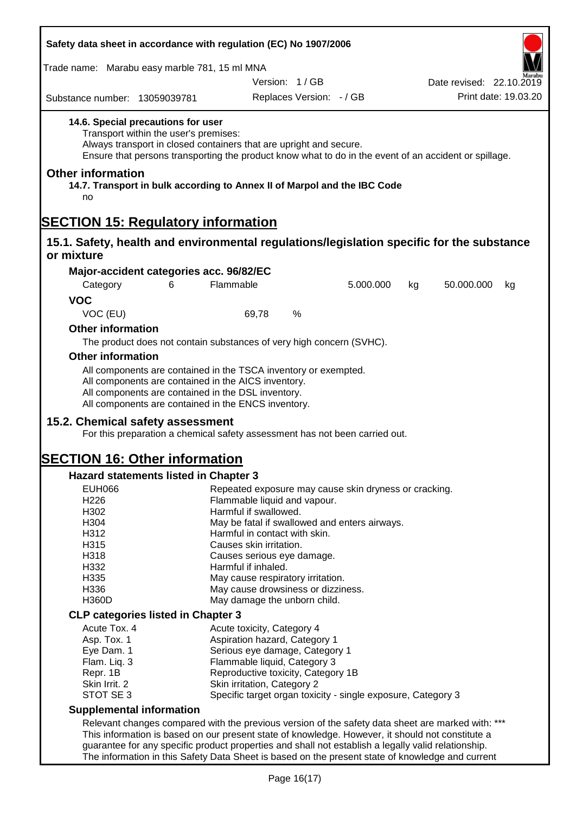| Safety data sheet in accordance with regulation (EC) No 1907/2006                                                                                |                                                                                                                                                                                                                                                 |                                                                                       |                                    |                                                              |    |                          |                      |
|--------------------------------------------------------------------------------------------------------------------------------------------------|-------------------------------------------------------------------------------------------------------------------------------------------------------------------------------------------------------------------------------------------------|---------------------------------------------------------------------------------------|------------------------------------|--------------------------------------------------------------|----|--------------------------|----------------------|
| Trade name: Marabu easy marble 781, 15 ml MNA                                                                                                    |                                                                                                                                                                                                                                                 |                                                                                       |                                    |                                                              |    |                          |                      |
|                                                                                                                                                  |                                                                                                                                                                                                                                                 |                                                                                       | Version: 1/GB                      |                                                              |    | Date revised: 22.10.2019 |                      |
| Substance number: 13059039781                                                                                                                    |                                                                                                                                                                                                                                                 |                                                                                       | Replaces Version: - / GB           |                                                              |    |                          | Print date: 19.03.20 |
| 14.6. Special precautions for user<br><b>Other information</b><br>14.7. Transport in bulk according to Annex II of Marpol and the IBC Code<br>no | Transport within the user's premises:<br>Always transport in closed containers that are upright and secure.<br>Ensure that persons transporting the product know what to do in the event of an accident or spillage.                            |                                                                                       |                                    |                                                              |    |                          |                      |
| <b>SECTION 15: Regulatory information</b>                                                                                                        |                                                                                                                                                                                                                                                 |                                                                                       |                                    |                                                              |    |                          |                      |
| 15.1. Safety, health and environmental regulations/legislation specific for the substance<br>or mixture                                          |                                                                                                                                                                                                                                                 |                                                                                       |                                    |                                                              |    |                          |                      |
| Major-accident categories acc. 96/82/EC                                                                                                          |                                                                                                                                                                                                                                                 |                                                                                       |                                    |                                                              |    |                          |                      |
| Category                                                                                                                                         | 6                                                                                                                                                                                                                                               | Flammable                                                                             |                                    | 5.000.000                                                    | kg | 50.000.000               | kg                   |
| <b>VOC</b>                                                                                                                                       |                                                                                                                                                                                                                                                 |                                                                                       |                                    |                                                              |    |                          |                      |
| VOC (EU)                                                                                                                                         |                                                                                                                                                                                                                                                 | 69,78                                                                                 | %                                  |                                                              |    |                          |                      |
| <b>Other information</b>                                                                                                                         |                                                                                                                                                                                                                                                 |                                                                                       |                                    |                                                              |    |                          |                      |
|                                                                                                                                                  | The product does not contain substances of very high concern (SVHC).                                                                                                                                                                            |                                                                                       |                                    |                                                              |    |                          |                      |
| <b>Other information</b>                                                                                                                         |                                                                                                                                                                                                                                                 |                                                                                       |                                    |                                                              |    |                          |                      |
| 15.2. Chemical safety assessment<br><b>SECTION 16: Other information</b>                                                                         | All components are contained in the AICS inventory.<br>All components are contained in the DSL inventory.<br>All components are contained in the ENCS inventory.<br>For this preparation a chemical safety assessment has not been carried out. |                                                                                       |                                    |                                                              |    |                          |                      |
| Hazard statements listed in Chapter 3                                                                                                            |                                                                                                                                                                                                                                                 |                                                                                       |                                    |                                                              |    |                          |                      |
| <b>EUH066</b>                                                                                                                                    |                                                                                                                                                                                                                                                 |                                                                                       |                                    |                                                              |    |                          |                      |
| H226                                                                                                                                             |                                                                                                                                                                                                                                                 | Repeated exposure may cause skin dryness or cracking.<br>Flammable liquid and vapour. |                                    |                                                              |    |                          |                      |
| H302                                                                                                                                             |                                                                                                                                                                                                                                                 | Harmful if swallowed.                                                                 |                                    |                                                              |    |                          |                      |
| H304                                                                                                                                             |                                                                                                                                                                                                                                                 | May be fatal if swallowed and enters airways.                                         |                                    |                                                              |    |                          |                      |
| H312<br>H315                                                                                                                                     |                                                                                                                                                                                                                                                 | Harmful in contact with skin.<br>Causes skin irritation.                              |                                    |                                                              |    |                          |                      |
| H318                                                                                                                                             |                                                                                                                                                                                                                                                 | Causes serious eye damage.                                                            |                                    |                                                              |    |                          |                      |
| H332                                                                                                                                             |                                                                                                                                                                                                                                                 | Harmful if inhaled.                                                                   |                                    |                                                              |    |                          |                      |
| H335                                                                                                                                             |                                                                                                                                                                                                                                                 | May cause respiratory irritation.                                                     |                                    |                                                              |    |                          |                      |
| H336                                                                                                                                             |                                                                                                                                                                                                                                                 |                                                                                       | May cause drowsiness or dizziness. |                                                              |    |                          |                      |
| <b>H360D</b>                                                                                                                                     |                                                                                                                                                                                                                                                 |                                                                                       | May damage the unborn child.       |                                                              |    |                          |                      |
| <b>CLP categories listed in Chapter 3</b>                                                                                                        |                                                                                                                                                                                                                                                 |                                                                                       |                                    |                                                              |    |                          |                      |
| Acute Tox. 4<br>Asp. Tox. 1                                                                                                                      |                                                                                                                                                                                                                                                 | Acute toxicity, Category 4                                                            | Aspiration hazard, Category 1      |                                                              |    |                          |                      |
| Eye Dam. 1                                                                                                                                       |                                                                                                                                                                                                                                                 |                                                                                       | Serious eye damage, Category 1     |                                                              |    |                          |                      |
| Flam. Liq. 3                                                                                                                                     |                                                                                                                                                                                                                                                 |                                                                                       | Flammable liquid, Category 3       |                                                              |    |                          |                      |
| Repr. 1B                                                                                                                                         |                                                                                                                                                                                                                                                 |                                                                                       | Reproductive toxicity, Category 1B |                                                              |    |                          |                      |
| Skin Irrit. 2                                                                                                                                    |                                                                                                                                                                                                                                                 | Skin irritation, Category 2                                                           |                                    |                                                              |    |                          |                      |
| STOT SE 3                                                                                                                                        |                                                                                                                                                                                                                                                 |                                                                                       |                                    | Specific target organ toxicity - single exposure, Category 3 |    |                          |                      |
| <b>Supplemental information</b>                                                                                                                  |                                                                                                                                                                                                                                                 |                                                                                       |                                    |                                                              |    |                          |                      |
|                                                                                                                                                  | Relevant changes compared with the previous version of the safety data sheet are marked with: ***<br>This information is based on our present state of knowledge. However, it should not constitute a                                           |                                                                                       |                                    |                                                              |    |                          |                      |
|                                                                                                                                                  | guarantee for any specific product properties and shall not establish a legally valid relationship.                                                                                                                                             |                                                                                       |                                    |                                                              |    |                          |                      |
|                                                                                                                                                  | The information in this Safety Data Sheet is based on the present state of knowledge and current                                                                                                                                                |                                                                                       |                                    |                                                              |    |                          |                      |